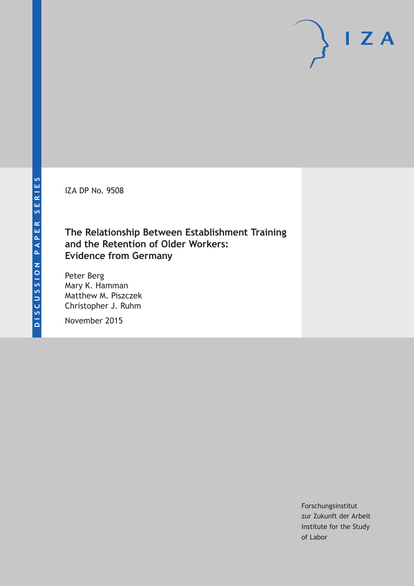IZA DP No. 9508

## **The Relationship Between Establishment Training and the Retention of Older Workers: Evidence from Germany**

Peter Berg Mary K. Hamman Matthew M. Piszczek Christopher J. Ruhm

November 2015

Forschungsinstitut zur Zukunft der Arbeit Institute for the Study of Labor

 $I Z A$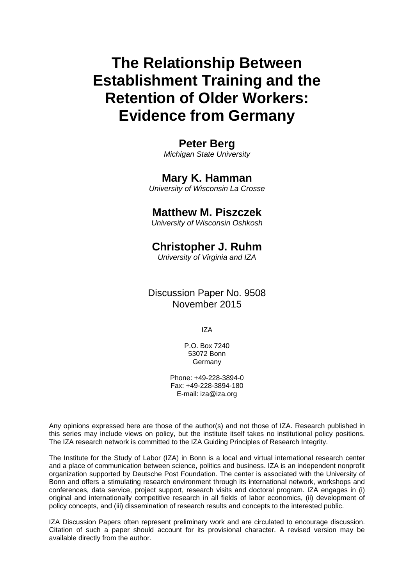# **The Relationship Between Establishment Training and the Retention of Older Workers: Evidence from Germany**

### **Peter Berg**

*Michigan State University* 

### **Mary K. Hamman**

*University of Wisconsin La Crosse* 

### **Matthew M. Piszczek**

*University of Wisconsin Oshkosh*

### **Christopher J. Ruhm**

*University of Virginia and IZA* 

Discussion Paper No. 9508 November 2015

IZA

P.O. Box 7240 53072 Bonn **Germany** 

Phone: +49-228-3894-0 Fax: +49-228-3894-180 E-mail: iza@iza.org

Any opinions expressed here are those of the author(s) and not those of IZA. Research published in this series may include views on policy, but the institute itself takes no institutional policy positions. The IZA research network is committed to the IZA Guiding Principles of Research Integrity.

The Institute for the Study of Labor (IZA) in Bonn is a local and virtual international research center and a place of communication between science, politics and business. IZA is an independent nonprofit organization supported by Deutsche Post Foundation. The center is associated with the University of Bonn and offers a stimulating research environment through its international network, workshops and conferences, data service, project support, research visits and doctoral program. IZA engages in (i) original and internationally competitive research in all fields of labor economics, (ii) development of policy concepts, and (iii) dissemination of research results and concepts to the interested public.

IZA Discussion Papers often represent preliminary work and are circulated to encourage discussion. Citation of such a paper should account for its provisional character. A revised version may be available directly from the author.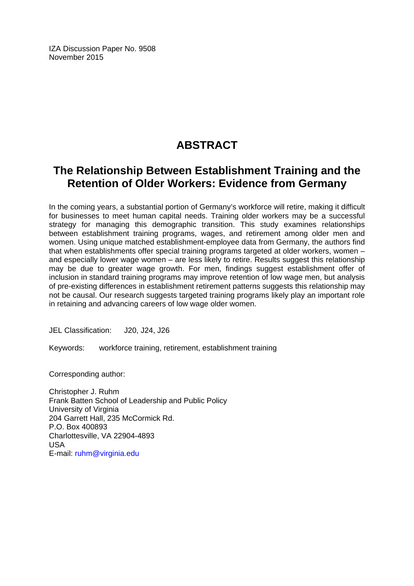IZA Discussion Paper No. 9508 November 2015

## **ABSTRACT**

## **The Relationship Between Establishment Training and the Retention of Older Workers: Evidence from Germany**

In the coming years, a substantial portion of Germany's workforce will retire, making it difficult for businesses to meet human capital needs. Training older workers may be a successful strategy for managing this demographic transition. This study examines relationships between establishment training programs, wages, and retirement among older men and women. Using unique matched establishment-employee data from Germany, the authors find that when establishments offer special training programs targeted at older workers, women – and especially lower wage women – are less likely to retire. Results suggest this relationship may be due to greater wage growth. For men, findings suggest establishment offer of inclusion in standard training programs may improve retention of low wage men, but analysis of pre-existing differences in establishment retirement patterns suggests this relationship may not be causal. Our research suggests targeted training programs likely play an important role in retaining and advancing careers of low wage older women.

JEL Classification: J20, J24, J26

Keywords: workforce training, retirement, establishment training

Corresponding author:

Christopher J. Ruhm Frank Batten School of Leadership and Public Policy University of Virginia 204 Garrett Hall, 235 McCormick Rd. P.O. Box 400893 Charlottesville, VA 22904-4893 USA E-mail: ruhm@virginia.edu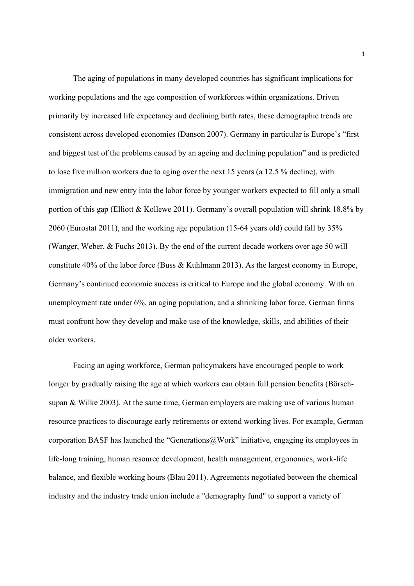The aging of populations in many developed countries has significant implications for working populations and the age composition of workforces within organizations. Driven primarily by increased life expectancy and declining birth rates, these demographic trends are consistent across developed economies (Danson 2007). Germany in particular is Europe's "first and biggest test of the problems caused by an ageing and declining population" and is predicted to lose five million workers due to aging over the next 15 years (a 12.5 % decline), with immigration and new entry into the labor force by younger workers expected to fill only a small portion of this gap (Elliott & Kollewe 2011). Germany's overall population will shrink 18.8% by 2060 (Eurostat 2011), and the working age population (15-64 years old) could fall by 35% (Wanger, Weber, & Fuchs 2013). By the end of the current decade workers over age 50 will constitute 40% of the labor force (Buss & Kuhlmann 2013). As the largest economy in Europe, Germany's continued economic success is critical to Europe and the global economy. With an unemployment rate under 6%, an aging population, and a shrinking labor force, German firms must confront how they develop and make use of the knowledge, skills, and abilities of their older workers.

Facing an aging workforce, German policymakers have encouraged people to work longer by gradually raising the age at which workers can obtain full pension benefits (Börschsupan & Wilke 2003). At the same time, German employers are making use of various human resource practices to discourage early retirements or extend working lives. For example, German corporation BASF has launched the "Generations@Work" initiative, engaging its employees in life-long training, human resource development, health management, ergonomics, work-life balance, and flexible working hours (Blau 2011). Agreements negotiated between the chemical industry and the industry trade union include a "demography fund" to support a variety of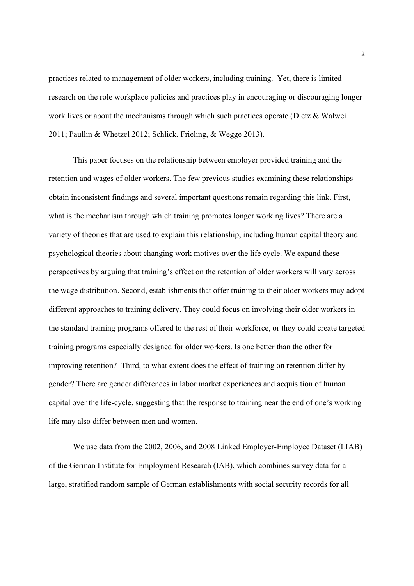practices related to management of older workers, including training. Yet, there is limited research on the role workplace policies and practices play in encouraging or discouraging longer work lives or about the mechanisms through which such practices operate (Dietz & Walwei 2011; Paullin & Whetzel 2012; Schlick, Frieling, & Wegge 2013).

This paper focuses on the relationship between employer provided training and the retention and wages of older workers. The few previous studies examining these relationships obtain inconsistent findings and several important questions remain regarding this link. First, what is the mechanism through which training promotes longer working lives? There are a variety of theories that are used to explain this relationship, including human capital theory and psychological theories about changing work motives over the life cycle. We expand these perspectives by arguing that training's effect on the retention of older workers will vary across the wage distribution. Second, establishments that offer training to their older workers may adopt different approaches to training delivery. They could focus on involving their older workers in the standard training programs offered to the rest of their workforce, or they could create targeted training programs especially designed for older workers. Is one better than the other for improving retention? Third, to what extent does the effect of training on retention differ by gender? There are gender differences in labor market experiences and acquisition of human capital over the life-cycle, suggesting that the response to training near the end of one's working life may also differ between men and women.

We use data from the 2002, 2006, and 2008 Linked Employer-Employee Dataset (LIAB) of the German Institute for Employment Research (IAB), which combines survey data for a large, stratified random sample of German establishments with social security records for all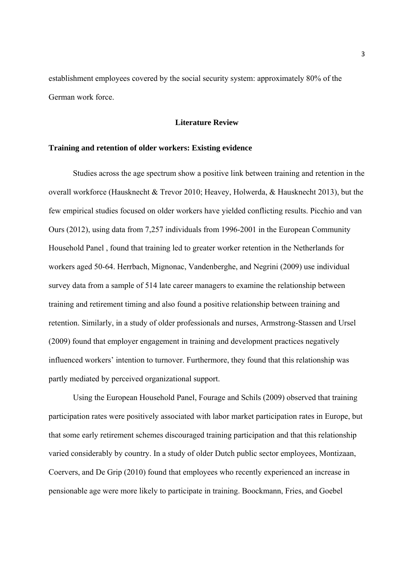establishment employees covered by the social security system: approximately 80% of the German work force.

#### **Literature Review**

#### **Training and retention of older workers: Existing evidence**

Studies across the age spectrum show a positive link between training and retention in the overall workforce (Hausknecht & Trevor 2010; Heavey, Holwerda, & Hausknecht 2013), but the few empirical studies focused on older workers have yielded conflicting results. Picchio and van Ours (2012), using data from 7,257 individuals from 1996-2001 in the European Community Household Panel , found that training led to greater worker retention in the Netherlands for workers aged 50-64. Herrbach, Mignonac, Vandenberghe, and Negrini (2009) use individual survey data from a sample of 514 late career managers to examine the relationship between training and retirement timing and also found a positive relationship between training and retention. Similarly, in a study of older professionals and nurses, Armstrong-Stassen and Ursel (2009) found that employer engagement in training and development practices negatively influenced workers' intention to turnover. Furthermore, they found that this relationship was partly mediated by perceived organizational support.

Using the European Household Panel, Fourage and Schils (2009) observed that training participation rates were positively associated with labor market participation rates in Europe, but that some early retirement schemes discouraged training participation and that this relationship varied considerably by country. In a study of older Dutch public sector employees, Montizaan, Coervers, and De Grip (2010) found that employees who recently experienced an increase in pensionable age were more likely to participate in training. Boockmann, Fries, and Goebel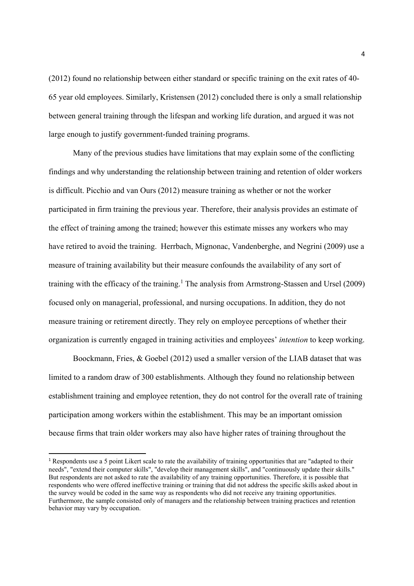(2012) found no relationship between either standard or specific training on the exit rates of 40- 65 year old employees. Similarly, Kristensen (2012) concluded there is only a small relationship between general training through the lifespan and working life duration, and argued it was not large enough to justify government-funded training programs.

Many of the previous studies have limitations that may explain some of the conflicting findings and why understanding the relationship between training and retention of older workers is difficult. Picchio and van Ours (2012) measure training as whether or not the worker participated in firm training the previous year. Therefore, their analysis provides an estimate of the effect of training among the trained; however this estimate misses any workers who may have retired to avoid the training. Herrbach, Mignonac, Vandenberghe, and Negrini (2009) use a measure of training availability but their measure confounds the availability of any sort of training with the efficacy of the training.<sup>1</sup> The analysis from Armstrong-Stassen and Ursel (2009) focused only on managerial, professional, and nursing occupations. In addition, they do not measure training or retirement directly. They rely on employee perceptions of whether their organization is currently engaged in training activities and employees' *intention* to keep working.

Boockmann, Fries, & Goebel (2012) used a smaller version of the LIAB dataset that was limited to a random draw of 300 establishments. Although they found no relationship between establishment training and employee retention, they do not control for the overall rate of training participation among workers within the establishment. This may be an important omission because firms that train older workers may also have higher rates of training throughout the

<sup>1</sup> Respondents use a 5 point Likert scale to rate the availability of training opportunities that are "adapted to their needs", "extend their computer skills", "develop their management skills", and "continuously update their skills." But respondents are not asked to rate the availability of any training opportunities. Therefore, it is possible that respondents who were offered ineffective training or training that did not address the specific skills asked about in the survey would be coded in the same way as respondents who did not receive any training opportunities. Furthermore, the sample consisted only of managers and the relationship between training practices and retention behavior may vary by occupation.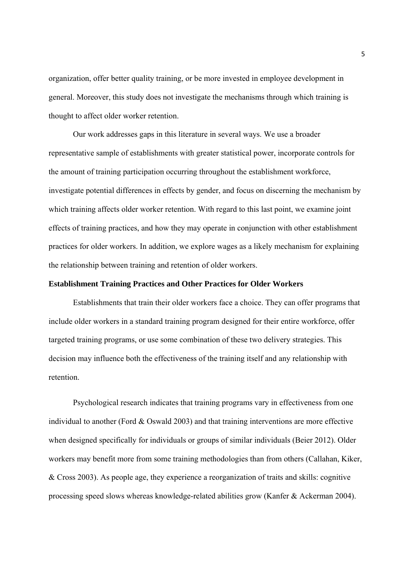organization, offer better quality training, or be more invested in employee development in general. Moreover, this study does not investigate the mechanisms through which training is thought to affect older worker retention.

Our work addresses gaps in this literature in several ways. We use a broader representative sample of establishments with greater statistical power, incorporate controls for the amount of training participation occurring throughout the establishment workforce, investigate potential differences in effects by gender, and focus on discerning the mechanism by which training affects older worker retention. With regard to this last point, we examine joint effects of training practices, and how they may operate in conjunction with other establishment practices for older workers. In addition, we explore wages as a likely mechanism for explaining the relationship between training and retention of older workers.

#### **Establishment Training Practices and Other Practices for Older Workers**

Establishments that train their older workers face a choice. They can offer programs that include older workers in a standard training program designed for their entire workforce, offer targeted training programs, or use some combination of these two delivery strategies. This decision may influence both the effectiveness of the training itself and any relationship with retention.

Psychological research indicates that training programs vary in effectiveness from one individual to another (Ford & Oswald 2003) and that training interventions are more effective when designed specifically for individuals or groups of similar individuals (Beier 2012). Older workers may benefit more from some training methodologies than from others (Callahan, Kiker, & Cross 2003). As people age, they experience a reorganization of traits and skills: cognitive processing speed slows whereas knowledge-related abilities grow (Kanfer & Ackerman 2004).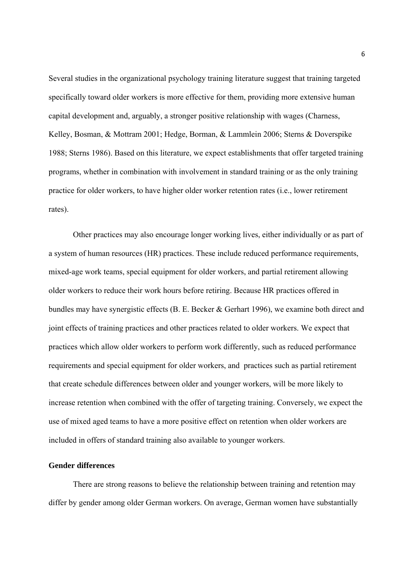Several studies in the organizational psychology training literature suggest that training targeted specifically toward older workers is more effective for them, providing more extensive human capital development and, arguably, a stronger positive relationship with wages (Charness, Kelley, Bosman, & Mottram 2001; Hedge, Borman, & Lammlein 2006; Sterns & Doverspike 1988; Sterns 1986). Based on this literature, we expect establishments that offer targeted training programs, whether in combination with involvement in standard training or as the only training practice for older workers, to have higher older worker retention rates (i.e., lower retirement rates).

Other practices may also encourage longer working lives, either individually or as part of a system of human resources (HR) practices. These include reduced performance requirements, mixed-age work teams, special equipment for older workers, and partial retirement allowing older workers to reduce their work hours before retiring. Because HR practices offered in bundles may have synergistic effects (B. E. Becker & Gerhart 1996), we examine both direct and joint effects of training practices and other practices related to older workers. We expect that practices which allow older workers to perform work differently, such as reduced performance requirements and special equipment for older workers, and practices such as partial retirement that create schedule differences between older and younger workers, will be more likely to increase retention when combined with the offer of targeting training. Conversely, we expect the use of mixed aged teams to have a more positive effect on retention when older workers are included in offers of standard training also available to younger workers.

#### **Gender differences**

 There are strong reasons to believe the relationship between training and retention may differ by gender among older German workers. On average, German women have substantially

6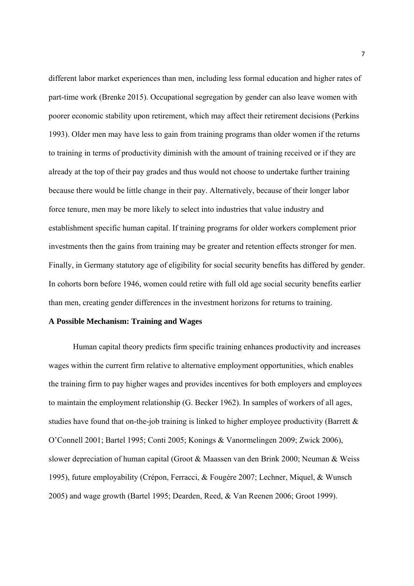different labor market experiences than men, including less formal education and higher rates of part-time work (Brenke 2015). Occupational segregation by gender can also leave women with poorer economic stability upon retirement, which may affect their retirement decisions (Perkins 1993). Older men may have less to gain from training programs than older women if the returns to training in terms of productivity diminish with the amount of training received or if they are already at the top of their pay grades and thus would not choose to undertake further training because there would be little change in their pay. Alternatively, because of their longer labor force tenure, men may be more likely to select into industries that value industry and establishment specific human capital. If training programs for older workers complement prior investments then the gains from training may be greater and retention effects stronger for men. Finally, in Germany statutory age of eligibility for social security benefits has differed by gender. In cohorts born before 1946, women could retire with full old age social security benefits earlier than men, creating gender differences in the investment horizons for returns to training.

#### **A Possible Mechanism: Training and Wages**

Human capital theory predicts firm specific training enhances productivity and increases wages within the current firm relative to alternative employment opportunities, which enables the training firm to pay higher wages and provides incentives for both employers and employees to maintain the employment relationship (G. Becker 1962). In samples of workers of all ages, studies have found that on-the-job training is linked to higher employee productivity (Barrett  $\&$ O'Connell 2001; Bartel 1995; Conti 2005; Konings & Vanormelingen 2009; Zwick 2006), slower depreciation of human capital (Groot & Maassen van den Brink 2000; Neuman & Weiss 1995), future employability (Crépon, Ferracci, & Fougére 2007; Lechner, Miquel, & Wunsch 2005) and wage growth (Bartel 1995; Dearden, Reed, & Van Reenen 2006; Groot 1999).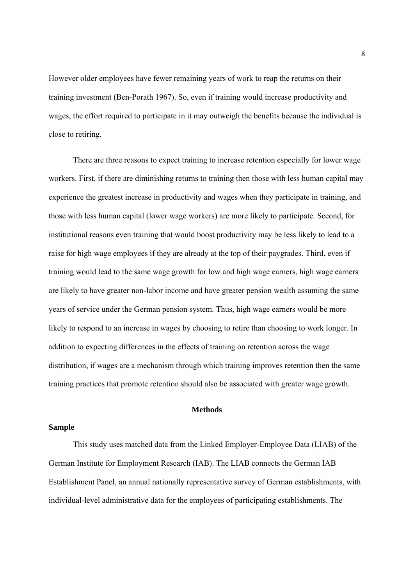However older employees have fewer remaining years of work to reap the returns on their training investment (Ben-Porath 1967). So, even if training would increase productivity and wages, the effort required to participate in it may outweigh the benefits because the individual is close to retiring.

There are three reasons to expect training to increase retention especially for lower wage workers. First, if there are diminishing returns to training then those with less human capital may experience the greatest increase in productivity and wages when they participate in training, and those with less human capital (lower wage workers) are more likely to participate. Second, for institutional reasons even training that would boost productivity may be less likely to lead to a raise for high wage employees if they are already at the top of their paygrades. Third, even if training would lead to the same wage growth for low and high wage earners, high wage earners are likely to have greater non-labor income and have greater pension wealth assuming the same years of service under the German pension system. Thus, high wage earners would be more likely to respond to an increase in wages by choosing to retire than choosing to work longer. In addition to expecting differences in the effects of training on retention across the wage distribution, if wages are a mechanism through which training improves retention then the same training practices that promote retention should also be associated with greater wage growth.

#### **Methods**

#### **Sample**

This study uses matched data from the Linked Employer-Employee Data (LIAB) of the German Institute for Employment Research (IAB). The LIAB connects the German IAB Establishment Panel, an annual nationally representative survey of German establishments, with individual-level administrative data for the employees of participating establishments. The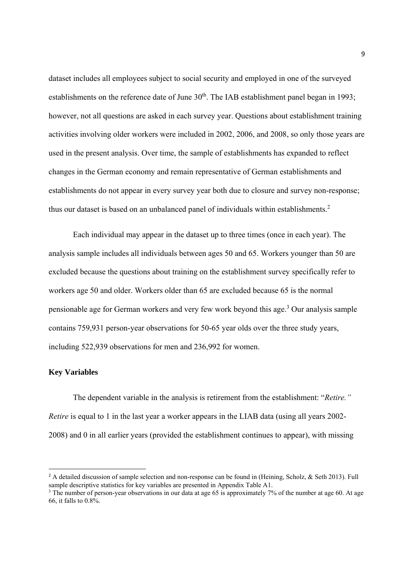dataset includes all employees subject to social security and employed in one of the surveyed establishments on the reference date of June  $30<sup>th</sup>$ . The IAB establishment panel began in 1993; however, not all questions are asked in each survey year. Questions about establishment training activities involving older workers were included in 2002, 2006, and 2008, so only those years are used in the present analysis. Over time, the sample of establishments has expanded to reflect changes in the German economy and remain representative of German establishments and establishments do not appear in every survey year both due to closure and survey non-response; thus our dataset is based on an unbalanced panel of individuals within establishments.<sup>2</sup>

Each individual may appear in the dataset up to three times (once in each year). The analysis sample includes all individuals between ages 50 and 65. Workers younger than 50 are excluded because the questions about training on the establishment survey specifically refer to workers age 50 and older. Workers older than 65 are excluded because 65 is the normal pensionable age for German workers and very few work beyond this age.<sup>3</sup> Our analysis sample contains 759,931 person-year observations for 50-65 year olds over the three study years, including 522,939 observations for men and 236,992 for women.

#### **Key Variables**

The dependent variable in the analysis is retirement from the establishment: "*Retire." Retire* is equal to 1 in the last year a worker appears in the LIAB data (using all years 2002-2008) and 0 in all earlier years (provided the establishment continues to appear), with missing

<sup>&</sup>lt;sup>2</sup> A detailed discussion of sample selection and non-response can be found in (Heining, Scholz, & Seth 2013). Full sample descriptive statistics for key variables are presented in Appendix Table A1.

<sup>&</sup>lt;sup>3</sup> The number of person-year observations in our data at age 65 is approximately 7% of the number at age 60. At age 66, it falls to 0.8%.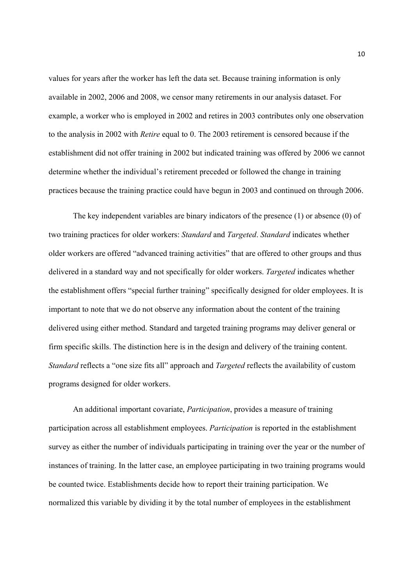values for years after the worker has left the data set. Because training information is only available in 2002, 2006 and 2008, we censor many retirements in our analysis dataset. For example, a worker who is employed in 2002 and retires in 2003 contributes only one observation to the analysis in 2002 with *Retire* equal to 0. The 2003 retirement is censored because if the establishment did not offer training in 2002 but indicated training was offered by 2006 we cannot determine whether the individual's retirement preceded or followed the change in training practices because the training practice could have begun in 2003 and continued on through 2006.

The key independent variables are binary indicators of the presence (1) or absence (0) of two training practices for older workers: *Standard* and *Targeted*. *Standard* indicates whether older workers are offered "advanced training activities" that are offered to other groups and thus delivered in a standard way and not specifically for older workers. *Targeted* indicates whether the establishment offers "special further training" specifically designed for older employees. It is important to note that we do not observe any information about the content of the training delivered using either method. Standard and targeted training programs may deliver general or firm specific skills. The distinction here is in the design and delivery of the training content. *Standard* reflects a "one size fits all" approach and *Targeted* reflects the availability of custom programs designed for older workers.

An additional important covariate, *Participation*, provides a measure of training participation across all establishment employees. *Participation* is reported in the establishment survey as either the number of individuals participating in training over the year or the number of instances of training. In the latter case, an employee participating in two training programs would be counted twice. Establishments decide how to report their training participation. We normalized this variable by dividing it by the total number of employees in the establishment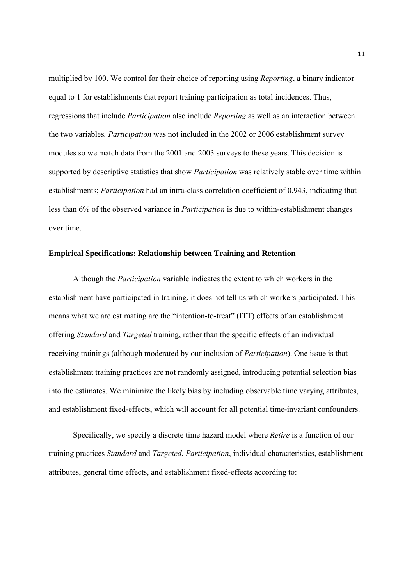multiplied by 100. We control for their choice of reporting using *Reporting*, a binary indicator equal to 1 for establishments that report training participation as total incidences. Thus, regressions that include *Participation* also include *Reporting* as well as an interaction between the two variables*. Participation* was not included in the 2002 or 2006 establishment survey modules so we match data from the 2001 and 2003 surveys to these years. This decision is supported by descriptive statistics that show *Participation* was relatively stable over time within establishments; *Participation* had an intra-class correlation coefficient of 0.943, indicating that less than 6% of the observed variance in *Participation* is due to within-establishment changes over time.

#### **Empirical Specifications: Relationship between Training and Retention**

Although the *Participation* variable indicates the extent to which workers in the establishment have participated in training, it does not tell us which workers participated. This means what we are estimating are the "intention-to-treat" (ITT) effects of an establishment offering *Standard* and *Targeted* training, rather than the specific effects of an individual receiving trainings (although moderated by our inclusion of *Participation*). One issue is that establishment training practices are not randomly assigned, introducing potential selection bias into the estimates. We minimize the likely bias by including observable time varying attributes, and establishment fixed-effects, which will account for all potential time-invariant confounders.

Specifically, we specify a discrete time hazard model where *Retire* is a function of our training practices *Standard* and *Targeted*, *Participation*, individual characteristics, establishment attributes, general time effects, and establishment fixed-effects according to: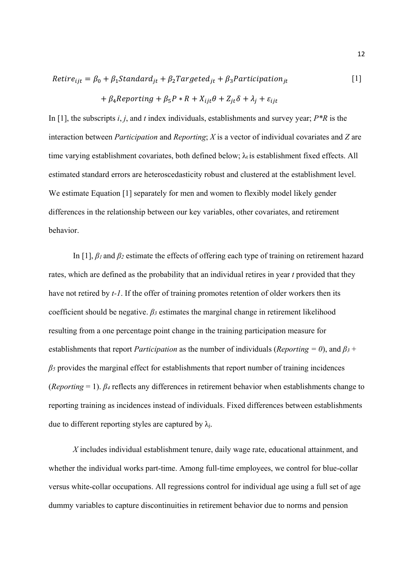$$
Retire_{ijt} = \beta_0 + \beta_1 Standard_{jt} + \beta_2 Targeted_{jt} + \beta_3 Partitionation_{jt}
$$
 [1]

$$
+\beta_4 Reporting + \beta_5 P * R + X_{ijt}\theta + Z_{jt}\delta + \lambda_j + \varepsilon_{ijt}
$$

In [1], the subscripts *i*, *j*, and *t* index individuals, establishments and survey year; *P\*R* is the interaction between *Participation* and *Reporting*; *X* is a vector of individual covariates and *Z* are time varying establishment covariates, both defined below;  $\lambda_i$  is establishment fixed effects. All estimated standard errors are heteroscedasticity robust and clustered at the establishment level. We estimate Equation [1] separately for men and women to flexibly model likely gender differences in the relationship between our key variables, other covariates, and retirement behavior.

In [1], *β<sup>1</sup>* and *β2* estimate the effects of offering each type of training on retirement hazard rates, which are defined as the probability that an individual retires in year *t* provided that they have not retired by *t-1*. If the offer of training promotes retention of older workers then its coefficient should be negative. *β<sup>3</sup>* estimates the marginal change in retirement likelihood resulting from a one percentage point change in the training participation measure for establishments that report *Participation* as the number of individuals (*Reporting = 0*), and *β3* + *β5* provides the marginal effect for establishments that report number of training incidences (*Reporting* = 1). *β<sup>4</sup>* reflects any differences in retirement behavior when establishments change to reporting training as incidences instead of individuals. Fixed differences between establishments due to different reporting styles are captured by  $\lambda_i$ .

*X* includes individual establishment tenure, daily wage rate, educational attainment, and whether the individual works part-time. Among full-time employees, we control for blue-collar versus white-collar occupations. All regressions control for individual age using a full set of age dummy variables to capture discontinuities in retirement behavior due to norms and pension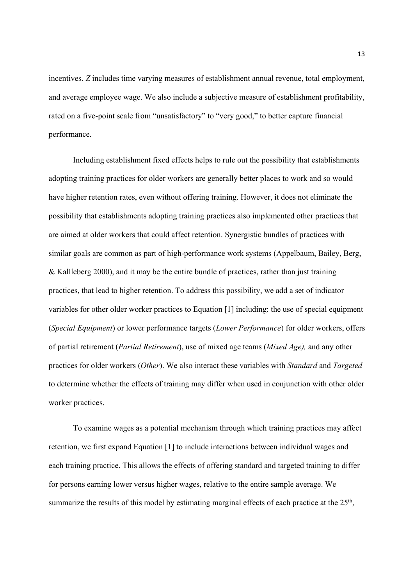incentives. *Z* includes time varying measures of establishment annual revenue, total employment, and average employee wage. We also include a subjective measure of establishment profitability, rated on a five-point scale from "unsatisfactory" to "very good," to better capture financial performance.

Including establishment fixed effects helps to rule out the possibility that establishments adopting training practices for older workers are generally better places to work and so would have higher retention rates, even without offering training. However, it does not eliminate the possibility that establishments adopting training practices also implemented other practices that are aimed at older workers that could affect retention. Synergistic bundles of practices with similar goals are common as part of high-performance work systems (Appelbaum, Bailey, Berg, & Kallleberg 2000), and it may be the entire bundle of practices, rather than just training practices, that lead to higher retention. To address this possibility, we add a set of indicator variables for other older worker practices to Equation [1] including: the use of special equipment (*Special Equipment*) or lower performance targets (*Lower Performance*) for older workers, offers of partial retirement (*Partial Retirement*), use of mixed age teams (*Mixed Age),* and any other practices for older workers (*Other*). We also interact these variables with *Standard* and *Targeted* to determine whether the effects of training may differ when used in conjunction with other older worker practices.

To examine wages as a potential mechanism through which training practices may affect retention, we first expand Equation [1] to include interactions between individual wages and each training practice. This allows the effects of offering standard and targeted training to differ for persons earning lower versus higher wages, relative to the entire sample average. We summarize the results of this model by estimating marginal effects of each practice at the 25<sup>th</sup>,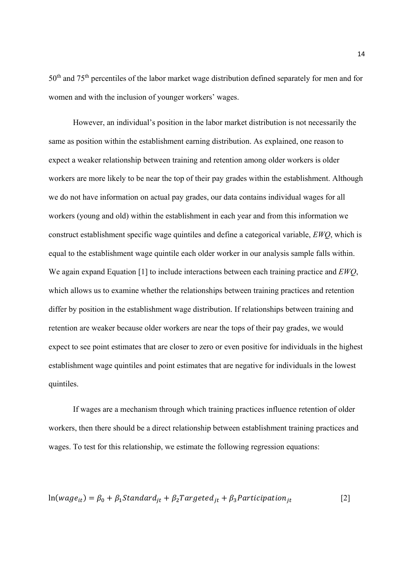50<sup>th</sup> and 75<sup>th</sup> percentiles of the labor market wage distribution defined separately for men and for women and with the inclusion of younger workers' wages.

However, an individual's position in the labor market distribution is not necessarily the same as position within the establishment earning distribution. As explained, one reason to expect a weaker relationship between training and retention among older workers is older workers are more likely to be near the top of their pay grades within the establishment. Although we do not have information on actual pay grades, our data contains individual wages for all workers (young and old) within the establishment in each year and from this information we construct establishment specific wage quintiles and define a categorical variable, *EWQ*, which is equal to the establishment wage quintile each older worker in our analysis sample falls within. We again expand Equation [1] to include interactions between each training practice and *EWQ*, which allows us to examine whether the relationships between training practices and retention differ by position in the establishment wage distribution. If relationships between training and retention are weaker because older workers are near the tops of their pay grades, we would expect to see point estimates that are closer to zero or even positive for individuals in the highest establishment wage quintiles and point estimates that are negative for individuals in the lowest quintiles.

If wages are a mechanism through which training practices influence retention of older workers, then there should be a direct relationship between establishment training practices and wages. To test for this relationship, we estimate the following regression equations:

$$
ln(wage_{it}) = \beta_0 + \beta_1 Standard_{jt} + \beta_2 Targeted_{jt} + \beta_3 Partitionation_{jt}
$$
 [2]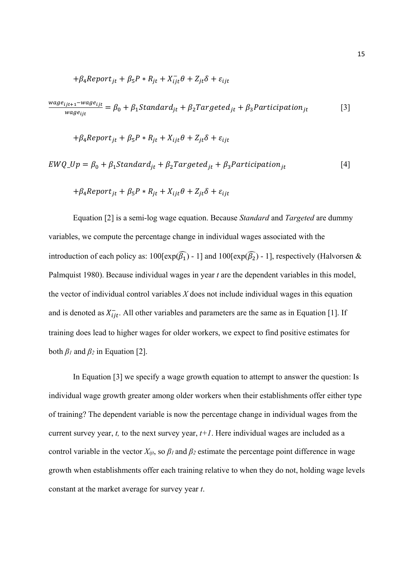$$
+\beta_4 Report_{jt} + \beta_5 P * R_{jt} + X_{ijt}^- \theta + Z_{jt} \delta + \varepsilon_{ijt}
$$

$$
\frac{wage_{ijt+1} - wage_{ijt}}{wage_{ijt}} = \beta_0 + \beta_1 Standard_{jt} + \beta_2 Targeted_{jt} + \beta_3 Partition_{jt}
$$
 [3]

$$
+\beta_4 Report_{jt} + \beta_5 P * R_{jt} + X_{ijt}\theta + Z_{jt}\delta + \varepsilon_{ijt}
$$

$$
EWQ\_Up = \beta_0 + \beta_1 Standard_{jt} + \beta_2 Targeted_{jt} + \beta_3 Partition_{jt}
$$
 [4]

$$
+\beta_4 Report_{jt} + \beta_5 P * R_{jt} + X_{ijt}\theta + Z_{jt}\delta + \varepsilon_{ijt}
$$

Equation [2] is a semi-log wage equation. Because *Standard* and *Targeted* are dummy variables, we compute the percentage change in individual wages associated with the introduction of each policy as:  $100[\exp(\widehat{\beta_1}) - 1]$  and  $100[\exp(\widehat{\beta_2}) - 1]$ , respectively (Halvorsen & Palmquist 1980). Because individual wages in year *t* are the dependent variables in this model, the vector of individual control variables *X* does not include individual wages in this equation and is denoted as  $X_{ijt}^-$ . All other variables and parameters are the same as in Equation [1]. If training does lead to higher wages for older workers, we expect to find positive estimates for both  $\beta$ *l* and  $\beta$ <sup>2</sup> in Equation [2].

In Equation [3] we specify a wage growth equation to attempt to answer the question: Is individual wage growth greater among older workers when their establishments offer either type of training? The dependent variable is now the percentage change in individual wages from the current survey year,  $t$ , to the next survey year,  $t+1$ . Here individual wages are included as a control variable in the vector  $X_{ijt}$ , so  $\beta_l$  and  $\beta_2$  estimate the percentage point difference in wage growth when establishments offer each training relative to when they do not, holding wage levels constant at the market average for survey year *t*.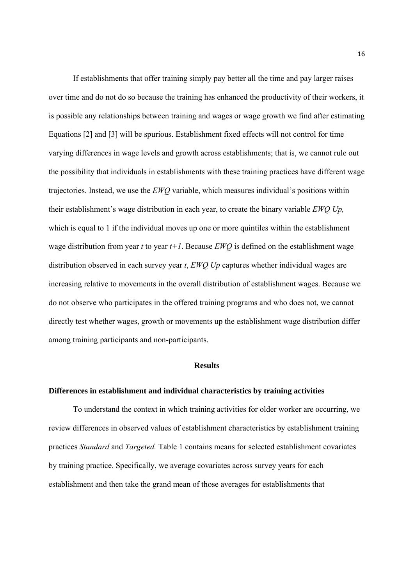If establishments that offer training simply pay better all the time and pay larger raises over time and do not do so because the training has enhanced the productivity of their workers, it is possible any relationships between training and wages or wage growth we find after estimating Equations [2] and [3] will be spurious. Establishment fixed effects will not control for time varying differences in wage levels and growth across establishments; that is, we cannot rule out the possibility that individuals in establishments with these training practices have different wage trajectories. Instead, we use the *EWQ* variable, which measures individual's positions within their establishment's wage distribution in each year, to create the binary variable *EWQ Up,*  which is equal to 1 if the individual moves up one or more quintiles within the establishment wage distribution from year *t* to year *t+1*. Because *EWQ* is defined on the establishment wage distribution observed in each survey year *t*, *EWQ Up* captures whether individual wages are increasing relative to movements in the overall distribution of establishment wages. Because we do not observe who participates in the offered training programs and who does not, we cannot directly test whether wages, growth or movements up the establishment wage distribution differ among training participants and non-participants.

#### **Results**

#### **Differences in establishment and individual characteristics by training activities**

To understand the context in which training activities for older worker are occurring, we review differences in observed values of establishment characteristics by establishment training practices *Standard* and *Targeted.* Table 1 contains means for selected establishment covariates by training practice. Specifically, we average covariates across survey years for each establishment and then take the grand mean of those averages for establishments that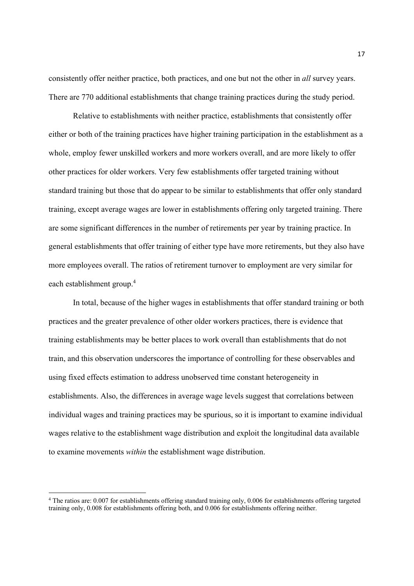consistently offer neither practice, both practices, and one but not the other in *all* survey years. There are 770 additional establishments that change training practices during the study period.

Relative to establishments with neither practice, establishments that consistently offer either or both of the training practices have higher training participation in the establishment as a whole, employ fewer unskilled workers and more workers overall, and are more likely to offer other practices for older workers. Very few establishments offer targeted training without standard training but those that do appear to be similar to establishments that offer only standard training, except average wages are lower in establishments offering only targeted training. There are some significant differences in the number of retirements per year by training practice. In general establishments that offer training of either type have more retirements, but they also have more employees overall. The ratios of retirement turnover to employment are very similar for each establishment group.<sup>4</sup>

In total, because of the higher wages in establishments that offer standard training or both practices and the greater prevalence of other older workers practices, there is evidence that training establishments may be better places to work overall than establishments that do not train, and this observation underscores the importance of controlling for these observables and using fixed effects estimation to address unobserved time constant heterogeneity in establishments. Also, the differences in average wage levels suggest that correlations between individual wages and training practices may be spurious, so it is important to examine individual wages relative to the establishment wage distribution and exploit the longitudinal data available to examine movements *within* the establishment wage distribution.

<sup>4</sup> The ratios are: 0.007 for establishments offering standard training only, 0.006 for establishments offering targeted training only, 0.008 for establishments offering both, and 0.006 for establishments offering neither.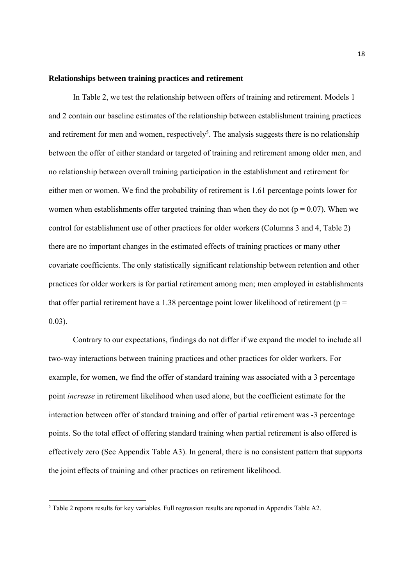#### **Relationships between training practices and retirement**

In Table 2, we test the relationship between offers of training and retirement. Models 1 and 2 contain our baseline estimates of the relationship between establishment training practices and retirement for men and women, respectively<sup>5</sup>. The analysis suggests there is no relationship between the offer of either standard or targeted of training and retirement among older men, and no relationship between overall training participation in the establishment and retirement for either men or women. We find the probability of retirement is 1.61 percentage points lower for women when establishments offer targeted training than when they do not ( $p = 0.07$ ). When we control for establishment use of other practices for older workers (Columns 3 and 4, Table 2) there are no important changes in the estimated effects of training practices or many other covariate coefficients. The only statistically significant relationship between retention and other practices for older workers is for partial retirement among men; men employed in establishments that offer partial retirement have a 1.38 percentage point lower likelihood of retirement ( $p =$ 0.03).

Contrary to our expectations, findings do not differ if we expand the model to include all two-way interactions between training practices and other practices for older workers. For example, for women, we find the offer of standard training was associated with a 3 percentage point *increase* in retirement likelihood when used alone, but the coefficient estimate for the interaction between offer of standard training and offer of partial retirement was -3 percentage points. So the total effect of offering standard training when partial retirement is also offered is effectively zero (See Appendix Table A3). In general, there is no consistent pattern that supports the joint effects of training and other practices on retirement likelihood.

<sup>&</sup>lt;sup>5</sup> Table 2 reports results for key variables. Full regression results are reported in Appendix Table A2.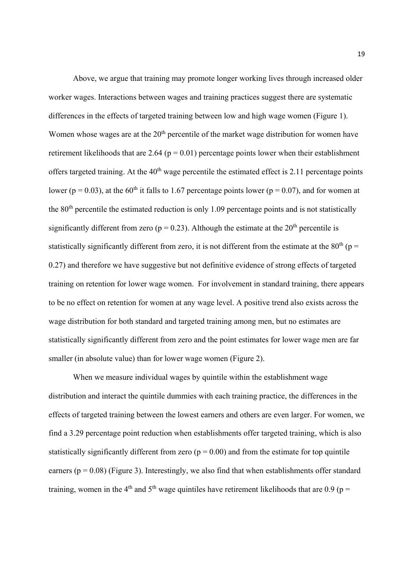Above, we argue that training may promote longer working lives through increased older worker wages. Interactions between wages and training practices suggest there are systematic differences in the effects of targeted training between low and high wage women (Figure 1). Women whose wages are at the 20<sup>th</sup> percentile of the market wage distribution for women have retirement likelihoods that are  $2.64$  ( $p = 0.01$ ) percentage points lower when their establishment offers targeted training. At the  $40<sup>th</sup>$  wage percentile the estimated effect is 2.11 percentage points lower ( $p = 0.03$ ), at the 60<sup>th</sup> it falls to 1.67 percentage points lower ( $p = 0.07$ ), and for women at the  $80<sup>th</sup>$  percentile the estimated reduction is only 1.09 percentage points and is not statistically significantly different from zero ( $p = 0.23$ ). Although the estimate at the 20<sup>th</sup> percentile is statistically significantly different from zero, it is not different from the estimate at the  $80<sup>th</sup>$  (p = 0.27) and therefore we have suggestive but not definitive evidence of strong effects of targeted training on retention for lower wage women. For involvement in standard training, there appears to be no effect on retention for women at any wage level. A positive trend also exists across the wage distribution for both standard and targeted training among men, but no estimates are statistically significantly different from zero and the point estimates for lower wage men are far smaller (in absolute value) than for lower wage women (Figure 2).

When we measure individual wages by quintile within the establishment wage distribution and interact the quintile dummies with each training practice, the differences in the effects of targeted training between the lowest earners and others are even larger. For women, we find a 3.29 percentage point reduction when establishments offer targeted training, which is also statistically significantly different from zero  $(p = 0.00)$  and from the estimate for top quintile earners ( $p = 0.08$ ) (Figure 3). Interestingly, we also find that when establishments offer standard training, women in the 4<sup>th</sup> and 5<sup>th</sup> wage quintiles have retirement likelihoods that are 0.9 (p =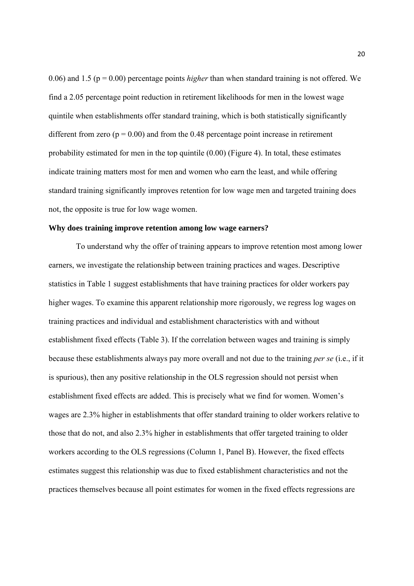0.06) and 1.5 (p = 0.00) percentage points *higher* than when standard training is not offered. We find a 2.05 percentage point reduction in retirement likelihoods for men in the lowest wage quintile when establishments offer standard training, which is both statistically significantly different from zero  $(p = 0.00)$  and from the 0.48 percentage point increase in retirement probability estimated for men in the top quintile (0.00) (Figure 4). In total, these estimates indicate training matters most for men and women who earn the least, and while offering standard training significantly improves retention for low wage men and targeted training does not, the opposite is true for low wage women.

#### **Why does training improve retention among low wage earners?**

To understand why the offer of training appears to improve retention most among lower earners, we investigate the relationship between training practices and wages. Descriptive statistics in Table 1 suggest establishments that have training practices for older workers pay higher wages. To examine this apparent relationship more rigorously, we regress log wages on training practices and individual and establishment characteristics with and without establishment fixed effects (Table 3). If the correlation between wages and training is simply because these establishments always pay more overall and not due to the training *per se* (i.e., if it is spurious), then any positive relationship in the OLS regression should not persist when establishment fixed effects are added. This is precisely what we find for women. Women's wages are 2.3% higher in establishments that offer standard training to older workers relative to those that do not, and also 2.3% higher in establishments that offer targeted training to older workers according to the OLS regressions (Column 1, Panel B). However, the fixed effects estimates suggest this relationship was due to fixed establishment characteristics and not the practices themselves because all point estimates for women in the fixed effects regressions are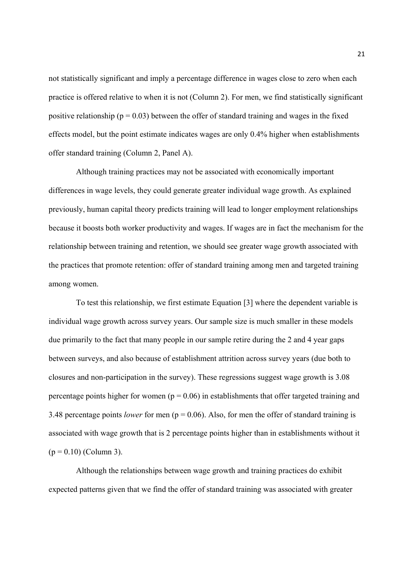not statistically significant and imply a percentage difference in wages close to zero when each practice is offered relative to when it is not (Column 2). For men, we find statistically significant positive relationship ( $p = 0.03$ ) between the offer of standard training and wages in the fixed effects model, but the point estimate indicates wages are only 0.4% higher when establishments offer standard training (Column 2, Panel A).

Although training practices may not be associated with economically important differences in wage levels, they could generate greater individual wage growth. As explained previously, human capital theory predicts training will lead to longer employment relationships because it boosts both worker productivity and wages. If wages are in fact the mechanism for the relationship between training and retention, we should see greater wage growth associated with the practices that promote retention: offer of standard training among men and targeted training among women.

To test this relationship, we first estimate Equation [3] where the dependent variable is individual wage growth across survey years. Our sample size is much smaller in these models due primarily to the fact that many people in our sample retire during the 2 and 4 year gaps between surveys, and also because of establishment attrition across survey years (due both to closures and non-participation in the survey). These regressions suggest wage growth is 3.08 percentage points higher for women ( $p = 0.06$ ) in establishments that offer targeted training and 3.48 percentage points *lower* for men ( $p = 0.06$ ). Also, for men the offer of standard training is associated with wage growth that is 2 percentage points higher than in establishments without it  $(p = 0.10)$  (Column 3).

Although the relationships between wage growth and training practices do exhibit expected patterns given that we find the offer of standard training was associated with greater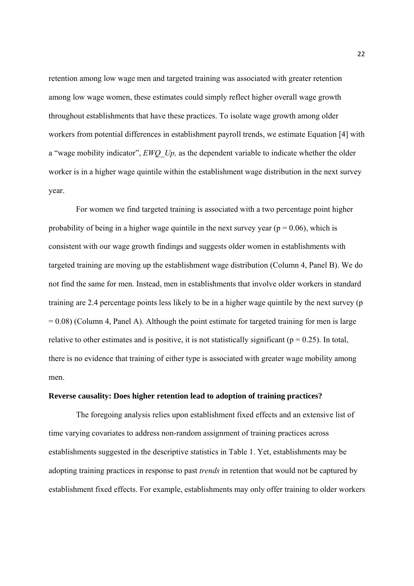retention among low wage men and targeted training was associated with greater retention among low wage women, these estimates could simply reflect higher overall wage growth throughout establishments that have these practices. To isolate wage growth among older workers from potential differences in establishment payroll trends, we estimate Equation [4] with a "wage mobility indicator", *EWQ\_Up,* as the dependent variable to indicate whether the older worker is in a higher wage quintile within the establishment wage distribution in the next survey year.

For women we find targeted training is associated with a two percentage point higher probability of being in a higher wage quintile in the next survey year ( $p = 0.06$ ), which is consistent with our wage growth findings and suggests older women in establishments with targeted training are moving up the establishment wage distribution (Column 4, Panel B). We do not find the same for men. Instead, men in establishments that involve older workers in standard training are 2.4 percentage points less likely to be in a higher wage quintile by the next survey (p  $= 0.08$ ) (Column 4, Panel A). Although the point estimate for targeted training for men is large relative to other estimates and is positive, it is not statistically significant ( $p = 0.25$ ). In total, there is no evidence that training of either type is associated with greater wage mobility among men.

#### **Reverse causality: Does higher retention lead to adoption of training practices?**

The foregoing analysis relies upon establishment fixed effects and an extensive list of time varying covariates to address non-random assignment of training practices across establishments suggested in the descriptive statistics in Table 1. Yet, establishments may be adopting training practices in response to past *trends* in retention that would not be captured by establishment fixed effects. For example, establishments may only offer training to older workers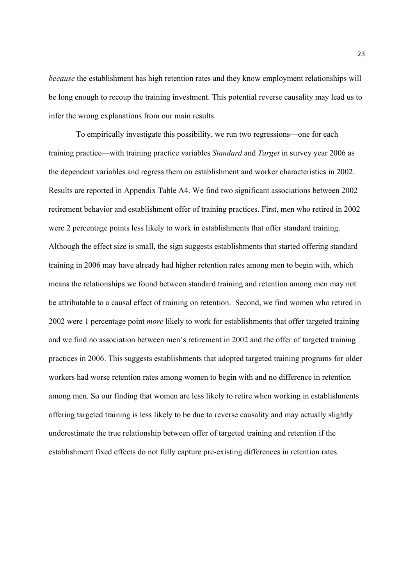*because* the establishment has high retention rates and they know employment relationships will be long enough to recoup the training investment. This potential reverse causality may lead us to infer the wrong explanations from our main results.

To empirically investigate this possibility, we run two regressions—one for each training practice—with training practice variables *Standard* and *Target* in survey year 2006 as the dependent variables and regress them on establishment and worker characteristics in 2002. Results are reported in Appendix Table A4. We find two significant associations between 2002 retirement behavior and establishment offer of training practices. First, men who retired in 2002 were 2 percentage points less likely to work in establishments that offer standard training. Although the effect size is small, the sign suggests establishments that started offering standard training in 2006 may have already had higher retention rates among men to begin with, which means the relationships we found between standard training and retention among men may not be attributable to a causal effect of training on retention. Second, we find women who retired in 2002 were 1 percentage point *more* likely to work for establishments that offer targeted training and we find no association between men's retirement in 2002 and the offer of targeted training practices in 2006. This suggests establishments that adopted targeted training programs for older workers had worse retention rates among women to begin with and no difference in retention among men. So our finding that women are less likely to retire when working in establishments offering targeted training is less likely to be due to reverse causality and may actually slightly underestimate the true relationship between offer of targeted training and retention if the establishment fixed effects do not fully capture pre-existing differences in retention rates.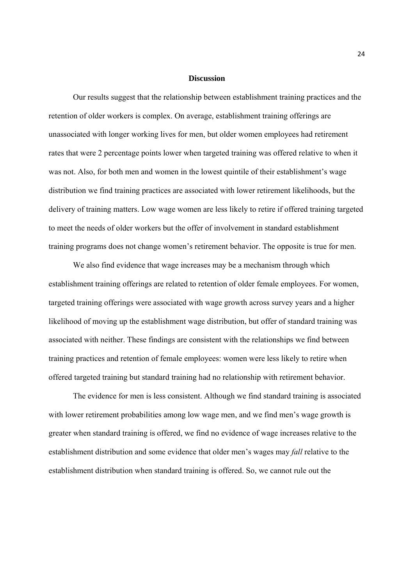#### **Discussion**

Our results suggest that the relationship between establishment training practices and the retention of older workers is complex. On average, establishment training offerings are unassociated with longer working lives for men, but older women employees had retirement rates that were 2 percentage points lower when targeted training was offered relative to when it was not. Also, for both men and women in the lowest quintile of their establishment's wage distribution we find training practices are associated with lower retirement likelihoods, but the delivery of training matters. Low wage women are less likely to retire if offered training targeted to meet the needs of older workers but the offer of involvement in standard establishment training programs does not change women's retirement behavior. The opposite is true for men.

We also find evidence that wage increases may be a mechanism through which establishment training offerings are related to retention of older female employees. For women, targeted training offerings were associated with wage growth across survey years and a higher likelihood of moving up the establishment wage distribution, but offer of standard training was associated with neither. These findings are consistent with the relationships we find between training practices and retention of female employees: women were less likely to retire when offered targeted training but standard training had no relationship with retirement behavior.

The evidence for men is less consistent. Although we find standard training is associated with lower retirement probabilities among low wage men, and we find men's wage growth is greater when standard training is offered, we find no evidence of wage increases relative to the establishment distribution and some evidence that older men's wages may *fall* relative to the establishment distribution when standard training is offered. So, we cannot rule out the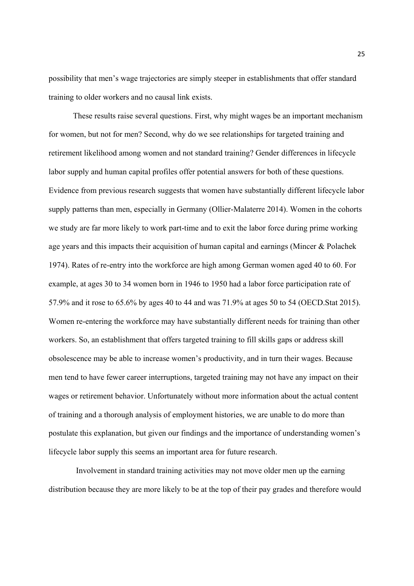possibility that men's wage trajectories are simply steeper in establishments that offer standard training to older workers and no causal link exists.

These results raise several questions. First, why might wages be an important mechanism for women, but not for men? Second, why do we see relationships for targeted training and retirement likelihood among women and not standard training? Gender differences in lifecycle labor supply and human capital profiles offer potential answers for both of these questions. Evidence from previous research suggests that women have substantially different lifecycle labor supply patterns than men, especially in Germany (Ollier-Malaterre 2014). Women in the cohorts we study are far more likely to work part-time and to exit the labor force during prime working age years and this impacts their acquisition of human capital and earnings (Mincer & Polachek 1974). Rates of re-entry into the workforce are high among German women aged 40 to 60. For example, at ages 30 to 34 women born in 1946 to 1950 had a labor force participation rate of 57.9% and it rose to 65.6% by ages 40 to 44 and was 71.9% at ages 50 to 54 (OECD.Stat 2015). Women re-entering the workforce may have substantially different needs for training than other workers. So, an establishment that offers targeted training to fill skills gaps or address skill obsolescence may be able to increase women's productivity, and in turn their wages. Because men tend to have fewer career interruptions, targeted training may not have any impact on their wages or retirement behavior. Unfortunately without more information about the actual content of training and a thorough analysis of employment histories, we are unable to do more than postulate this explanation, but given our findings and the importance of understanding women's lifecycle labor supply this seems an important area for future research.

Involvement in standard training activities may not move older men up the earning distribution because they are more likely to be at the top of their pay grades and therefore would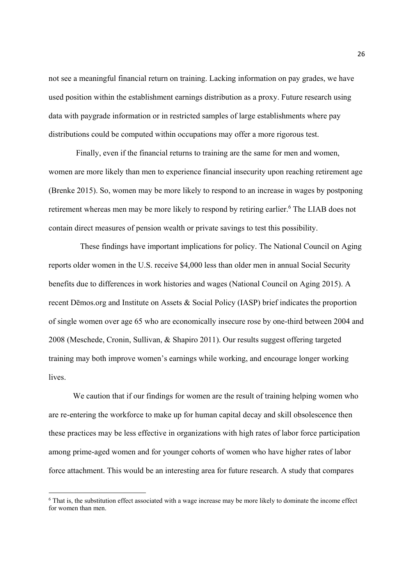not see a meaningful financial return on training. Lacking information on pay grades, we have used position within the establishment earnings distribution as a proxy. Future research using data with paygrade information or in restricted samples of large establishments where pay distributions could be computed within occupations may offer a more rigorous test.

Finally, even if the financial returns to training are the same for men and women, women are more likely than men to experience financial insecurity upon reaching retirement age (Brenke 2015). So, women may be more likely to respond to an increase in wages by postponing retirement whereas men may be more likely to respond by retiring earlier.<sup>6</sup> The LIAB does not contain direct measures of pension wealth or private savings to test this possibility.

 These findings have important implications for policy. The National Council on Aging reports older women in the U.S. receive \$4,000 less than older men in annual Social Security benefits due to differences in work histories and wages (National Council on Aging 2015). A recent Dēmos.org and Institute on Assets & Social Policy (IASP) brief indicates the proportion of single women over age 65 who are economically insecure rose by one-third between 2004 and 2008 (Meschede, Cronin, Sullivan, & Shapiro 2011). Our results suggest offering targeted training may both improve women's earnings while working, and encourage longer working lives.

We caution that if our findings for women are the result of training helping women who are re-entering the workforce to make up for human capital decay and skill obsolescence then these practices may be less effective in organizations with high rates of labor force participation among prime-aged women and for younger cohorts of women who have higher rates of labor force attachment. This would be an interesting area for future research. A study that compares

<sup>6</sup> That is, the substitution effect associated with a wage increase may be more likely to dominate the income effect for women than men.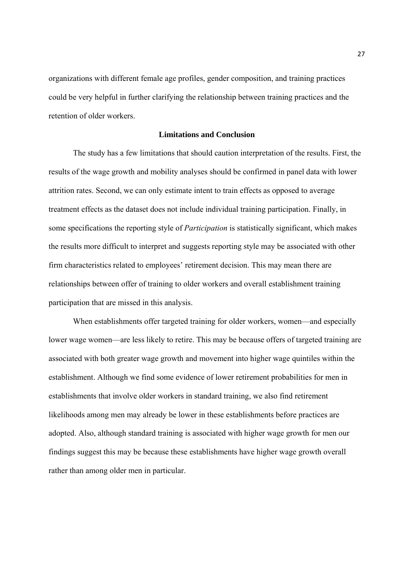organizations with different female age profiles, gender composition, and training practices could be very helpful in further clarifying the relationship between training practices and the retention of older workers.

#### **Limitations and Conclusion**

The study has a few limitations that should caution interpretation of the results. First, the results of the wage growth and mobility analyses should be confirmed in panel data with lower attrition rates. Second, we can only estimate intent to train effects as opposed to average treatment effects as the dataset does not include individual training participation. Finally, in some specifications the reporting style of *Participation* is statistically significant, which makes the results more difficult to interpret and suggests reporting style may be associated with other firm characteristics related to employees' retirement decision. This may mean there are relationships between offer of training to older workers and overall establishment training participation that are missed in this analysis.

When establishments offer targeted training for older workers, women—and especially lower wage women—are less likely to retire. This may be because offers of targeted training are associated with both greater wage growth and movement into higher wage quintiles within the establishment. Although we find some evidence of lower retirement probabilities for men in establishments that involve older workers in standard training, we also find retirement likelihoods among men may already be lower in these establishments before practices are adopted. Also, although standard training is associated with higher wage growth for men our findings suggest this may be because these establishments have higher wage growth overall rather than among older men in particular.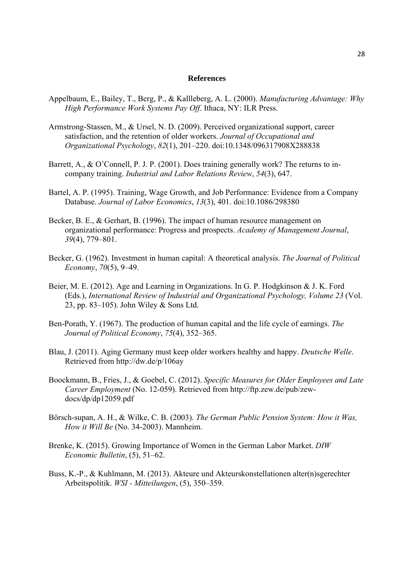#### **References**

- Appelbaum, E., Bailey, T., Berg, P., & Kallleberg, A. L. (2000). *Manufacturing Advantage: Why High Performance Work Systems Pay Off*. Ithaca, NY: ILR Press.
- Armstrong-Stassen, M., & Ursel, N. D. (2009). Perceived organizational support, career satisfaction, and the retention of older workers. *Journal of Occupational and Organizational Psychology*, *82*(1), 201–220. doi:10.1348/096317908X288838
- Barrett, A., & O'Connell, P. J. P. (2001). Does training generally work? The returns to incompany training. *Industrial and Labor Relations Review*, *54*(3), 647.
- Bartel, A. P. (1995). Training, Wage Growth, and Job Performance: Evidence from a Company Database. *Journal of Labor Economics*, *13*(3), 401. doi:10.1086/298380
- Becker, B. E., & Gerhart, B. (1996). The impact of human resource management on organizational performance: Progress and prospects. *Academy of Management Journal*, *39*(4), 779–801.
- Becker, G. (1962). Investment in human capital: A theoretical analysis. *The Journal of Political Economy*, *70*(5), 9–49.
- Beier, M. E. (2012). Age and Learning in Organizations. In G. P. Hodgkinson & J. K. Ford (Eds.), *International Review of Industrial and Organizational Psychology, Volume 23* (Vol. 23, pp. 83–105). John Wiley & Sons Ltd.
- Ben-Porath, Y. (1967). The production of human capital and the life cycle of earnings. *The Journal of Political Economy*, *75*(4), 352–365.
- Blau, J. (2011). Aging Germany must keep older workers healthy and happy. *Deutsche Welle*. Retrieved from http://dw.de/p/106ay
- Boockmann, B., Fries, J., & Goebel, C. (2012). *Specific Measures for Older Employees and Late Career Employment* (No. 12-059). Retrieved from http://ftp.zew.de/pub/zewdocs/dp/dp12059.pdf
- Börsch-supan, A. H., & Wilke, C. B. (2003). *The German Public Pension System: How it Was, How it Will Be* (No. 34-2003). Mannheim.
- Brenke, K. (2015). Growing Importance of Women in the German Labor Market. *DIW Economic Bulletin*, (5), 51–62.
- Buss, K.-P., & Kuhlmann, M. (2013). Akteure und Akteurskonstellationen alter(n)sgerechter Arbeitspolitik. *WSI - Mitteilungen*, (5), 350–359.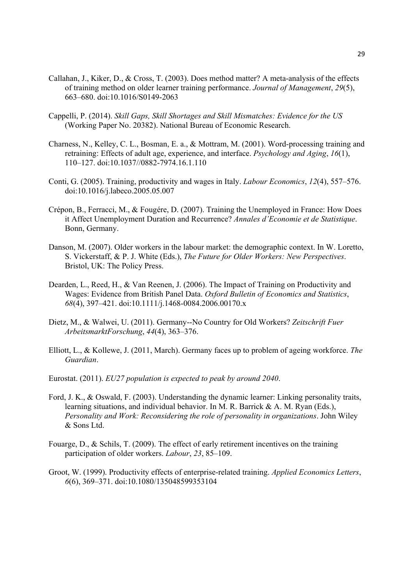- Callahan, J., Kiker, D., & Cross, T. (2003). Does method matter? A meta-analysis of the effects of training method on older learner training performance. *Journal of Management*, *29*(5), 663–680. doi:10.1016/S0149-2063
- Cappelli, P. (2014). *Skill Gaps, Skill Shortages and Skill Mismatches: Evidence for the US* (Working Paper No. 20382). National Bureau of Economic Research.
- Charness, N., Kelley, C. L., Bosman, E. a., & Mottram, M. (2001). Word-processing training and retraining: Effects of adult age, experience, and interface. *Psychology and Aging*, *16*(1), 110–127. doi:10.1037//0882-7974.16.1.110
- Conti, G. (2005). Training, productivity and wages in Italy. *Labour Economics*, *12*(4), 557–576. doi:10.1016/j.labeco.2005.05.007
- Crépon, B., Ferracci, M., & Fougére, D. (2007). Training the Unemployed in France: How Does it Affect Unemployment Duration and Recurrence? *Annales d'Economie et de Statistique*. Bonn, Germany.
- Danson, M. (2007). Older workers in the labour market: the demographic context. In W. Loretto, S. Vickerstaff, & P. J. White (Eds.), *The Future for Older Workers: New Perspectives*. Bristol, UK: The Policy Press.
- Dearden, L., Reed, H., & Van Reenen, J. (2006). The Impact of Training on Productivity and Wages: Evidence from British Panel Data. *Oxford Bulletin of Economics and Statistics*, *68*(4), 397–421. doi:10.1111/j.1468-0084.2006.00170.x
- Dietz, M., & Walwei, U. (2011). Germany--No Country for Old Workers? *Zeitschrift Fuer ArbeitsmarktForschung*, *44*(4), 363–376.
- Elliott, L., & Kollewe, J. (2011, March). Germany faces up to problem of ageing workforce. *The Guardian*.
- Eurostat. (2011). *EU27 population is expected to peak by around 2040*.
- Ford, J. K., & Oswald, F. (2003). Understanding the dynamic learner: Linking personality traits, learning situations, and individual behavior. In M. R. Barrick & A. M. Ryan (Eds.), *Personality and Work: Reconsidering the role of personality in organizations*. John Wiley & Sons Ltd.
- Fouarge, D., & Schils, T. (2009). The effect of early retirement incentives on the training participation of older workers. *Labour*, *23*, 85–109.
- Groot, W. (1999). Productivity effects of enterprise-related training. *Applied Economics Letters*, *6*(6), 369–371. doi:10.1080/135048599353104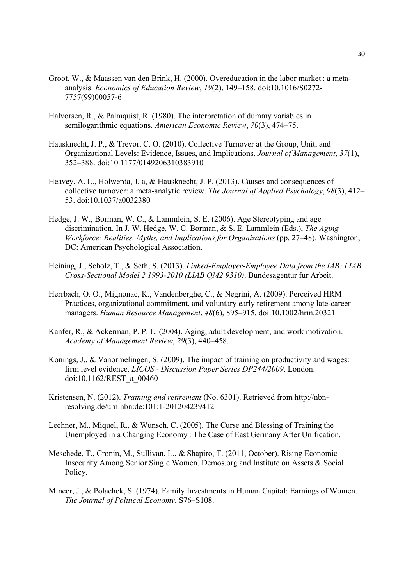- Groot, W., & Maassen van den Brink, H. (2000). Overeducation in the labor market : a metaanalysis. *Economics of Education Review*, *19*(2), 149–158. doi:10.1016/S0272- 7757(99)00057-6
- Halvorsen, R., & Palmquist, R. (1980). The interpretation of dummy variables in semilogarithmic equations. *American Economic Review*, *70*(3), 474–75.
- Hausknecht, J. P., & Trevor, C. O. (2010). Collective Turnover at the Group, Unit, and Organizational Levels: Evidence, Issues, and Implications. *Journal of Management*, *37*(1), 352–388. doi:10.1177/0149206310383910
- Heavey, A. L., Holwerda, J. a, & Hausknecht, J. P. (2013). Causes and consequences of collective turnover: a meta-analytic review. *The Journal of Applied Psychology*, *98*(3), 412– 53. doi:10.1037/a0032380
- Hedge, J. W., Borman, W. C., & Lammlein, S. E. (2006). Age Stereotyping and age discrimination. In J. W. Hedge, W. C. Borman, & S. E. Lammlein (Eds.), *The Aging Workforce: Realities, Myths, and Implications for Organizations* (pp. 27–48). Washington, DC: American Psychological Association.
- Heining, J., Scholz, T., & Seth, S. (2013). *Linked-Employer-Employee Data from the IAB: LIAB Cross-Sectional Model 2 1993-2010 (LIAB QM2 9310)*. Bundesagentur fur Arbeit.
- Herrbach, O. O., Mignonac, K., Vandenberghe, C., & Negrini, A. (2009). Perceived HRM Practices, organizational commitment, and voluntary early retirement among late-career managers. *Human Resource Management*, *48*(6), 895–915. doi:10.1002/hrm.20321
- Kanfer, R., & Ackerman, P. P. L. (2004). Aging, adult development, and work motivation. *Academy of Management Review*, *29*(3), 440–458.
- Konings, J., & Vanormelingen, S. (2009). The impact of training on productivity and wages: firm level evidence. *LICOS - Discussion Paper Series DP244/2009*. London. doi:10.1162/REST\_a\_00460
- Kristensen, N. (2012). *Training and retirement* (No. 6301). Retrieved from http://nbnresolving.de/urn:nbn:de:101:1-201204239412
- Lechner, M., Miquel, R., & Wunsch, C. (2005). The Curse and Blessing of Training the Unemployed in a Changing Economy : The Case of East Germany After Unification.
- Meschede, T., Cronin, M., Sullivan, L., & Shapiro, T. (2011, October). Rising Economic Insecurity Among Senior Single Women. Demos.org and Institute on Assets & Social Policy.
- Mincer, J., & Polachek, S. (1974). Family Investments in Human Capital: Earnings of Women. *The Journal of Political Economy*, S76–S108.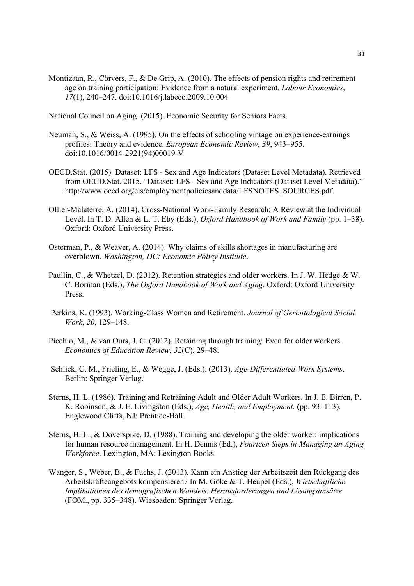Montizaan, R., Cörvers, F., & De Grip, A. (2010). The effects of pension rights and retirement age on training participation: Evidence from a natural experiment. *Labour Economics*, *17*(1), 240–247. doi:10.1016/j.labeco.2009.10.004

National Council on Aging. (2015). Economic Security for Seniors Facts.

- Neuman, S., & Weiss, A. (1995). On the effects of schooling vintage on experience-earnings profiles: Theory and evidence. *European Economic Review*, *39*, 943–955. doi:10.1016/0014-2921(94)00019-V
- OECD.Stat. (2015). Dataset: LFS Sex and Age Indicators (Dataset Level Metadata). Retrieved from OECD.Stat. 2015. "Dataset: LFS - Sex and Age Indicators (Dataset Level Metadata)." http://www.oecd.org/els/employmentpoliciesanddata/LFSNOTES\_SOURCES.pdf.
- Ollier-Malaterre, A. (2014). Cross-National Work-Family Research: A Review at the Individual Level. In T. D. Allen & L. T. Eby (Eds.), *Oxford Handbook of Work and Family* (pp. 1–38). Oxford: Oxford University Press.
- Osterman, P., & Weaver, A. (2014). Why claims of skills shortages in manufacturing are overblown. *Washington, DC: Economic Policy Institute*.
- Paullin, C., & Whetzel, D. (2012). Retention strategies and older workers. In J. W. Hedge & W. C. Borman (Eds.), *The Oxford Handbook of Work and Aging*. Oxford: Oxford University Press.
- Perkins, K. (1993). Working-Class Women and Retirement. *Journal of Gerontological Social Work*, *20*, 129–148.
- Picchio, M., & van Ours, J. C. (2012). Retaining through training: Even for older workers. *Economics of Education Review*, *32*(C), 29–48.
- Schlick, C. M., Frieling, E., & Wegge, J. (Eds.). (2013). *Age-Differentiated Work Systems*. Berlin: Springer Verlag.
- Sterns, H. L. (1986). Training and Retraining Adult and Older Adult Workers. In J. E. Birren, P. K. Robinson, & J. E. Livingston (Eds.), *Age, Health, and Employment.* (pp. 93–113). Englewood Cliffs, NJ: Prentice-Hall.
- Sterns, H. L., & Doverspike, D. (1988). Training and developing the older worker: implications for human resource management. In H. Dennis (Ed.), *Fourteen Steps in Managing an Aging Workforce*. Lexington, MA: Lexington Books.
- Wanger, S., Weber, B., & Fuchs, J. (2013). Kann ein Anstieg der Arbeitszeit den Rückgang des Arbeitskräfteangebots kompensieren? In M. Göke & T. Heupel (Eds.), *Wirtschaftliche Implikationen des demografischen Wandels. Herausforderungen und Lösungsansätze* (FOM., pp. 335–348). Wiesbaden: Springer Verlag.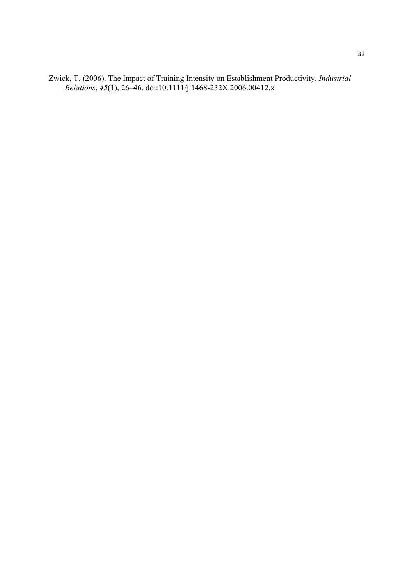Zwick, T. (2006). The Impact of Training Intensity on Establishment Productivity. *Industrial Relations*, *45*(1), 26–46. doi:10.1111/j.1468-232X.2006.00412.x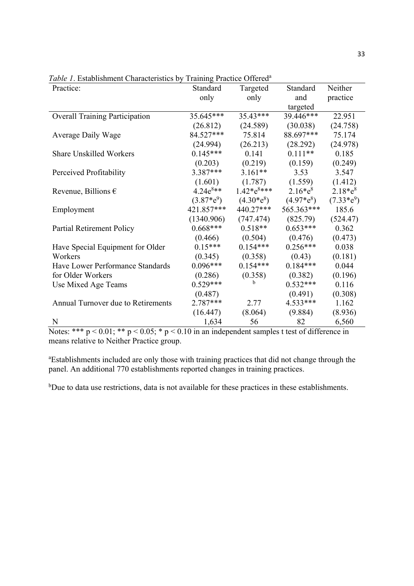| Practice:                             | Standard      | Targeted      | Standard    | Neither       |
|---------------------------------------|---------------|---------------|-------------|---------------|
|                                       | only          | only          | and         | practice      |
|                                       |               |               | targeted    |               |
| <b>Overall Training Participation</b> | 35.645***     | 35.43***      | 39.446***   | 22.951        |
|                                       | (26.812)      | (24.589)      | (30.038)    | (24.758)      |
| <b>Average Daily Wage</b>             | 84.527***     | 75.814        | 88.697***   | 75.174        |
|                                       | (24.994)      | (26.213)      | (28.292)    | (24.978)      |
| <b>Share Unskilled Workers</b>        | $0.145***$    | 0.141         | $0.111**$   | 0.185         |
|                                       | (0.203)       | (0.219)       | (0.159)     | (0.249)       |
| Perceived Profitability               | 3.387***      | $3.161**$     | 3.53        | 3.547         |
|                                       | (1.601)       | (1.787)       | (1.559)     | (1.412)       |
| Revenue, Billions $\epsilon$          | $4.24e^{8**}$ |               | $2.16*e^8$  | $2.18*e^{8}$  |
|                                       | $(3.87^*e^9)$ | $(4.30^*e^8)$ | $(4.97*e8)$ | $(7.33^*e^9)$ |
| Employment                            | 421.857***    | 440.27***     | 565.363***  | 185.6         |
|                                       | (1340.906)    | (747.474)     | (825.79)    | (524.47)      |
| <b>Partial Retirement Policy</b>      | $0.668***$    | $0.518**$     | $0.653***$  | 0.362         |
|                                       | (0.466)       | (0.504)       | (0.476)     | (0.473)       |
| Have Special Equipment for Older      | $0.15***$     | $0.154***$    | $0.256***$  | 0.038         |
| Workers                               | (0.345)       | (0.358)       | (0.43)      | (0.181)       |
| Have Lower Performance Standards      | $0.096***$    | $0.154***$    | $0.184***$  | 0.044         |
| for Older Workers                     | (0.286)       | (0.358)       | (0.382)     | (0.196)       |
| Use Mixed Age Teams                   | $0.529***$    | b             | $0.532***$  | 0.116         |
|                                       | (0.487)       |               | (0.491)     | (0.308)       |
| Annual Turnover due to Retirements    | 2.787***      | 2.77          | 4.533***    | 1.162         |
|                                       | (16.447)      | (8.064)       | (9.884)     | (8.936)       |
| N                                     | 1,634         | 56            | 82          | 6,560         |

*Table 1*. Establishment Characteristics by Training Practice Offered<sup>a</sup>

Notes: \*\*\*  $p < 0.01$ ; \*\*  $p < 0.05$ ; \*  $p < 0.10$  in an independent samples t test of difference in means relative to Neither Practice group.

<sup>a</sup>Establishments included are only those with training practices that did not change through the panel. An additional 770 establishments reported changes in training practices.

<sup>b</sup>Due to data use restrictions, data is not available for these practices in these establishments.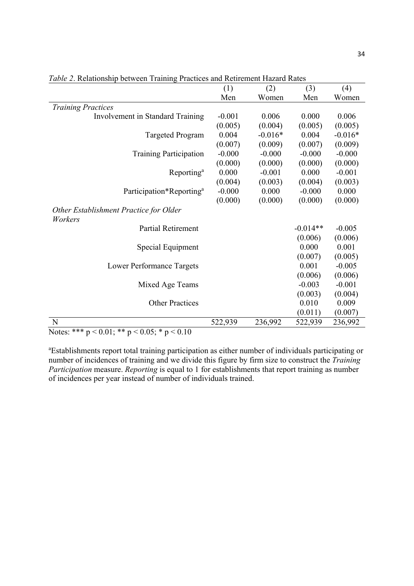| Men<br>Women<br>Women<br>Men<br><b>Training Practices</b><br>0.006<br>0.000<br>$-0.001$<br>0.006<br>Involvement in Standard Training<br>(0.005)<br>(0.004)<br>(0.005)<br>(0.005)<br>0.004<br>0.004<br><b>Targeted Program</b><br>$-0.016*$<br>$-0.016*$<br>(0.007)<br>(0.007)<br>(0.009)<br>(0.009)<br>$-0.000$<br>$-0.000$<br>$-0.000$<br>$-0.000$<br><b>Training Participation</b><br>(0.000)<br>(0.000)<br>(0.000)<br>(0.000)<br>0.000<br>$-0.001$<br>0.000<br>$-0.001$<br>Reporting <sup>a</sup><br>(0.004)<br>(0.003)<br>(0.004)<br>(0.003)<br>Participation*Reporting <sup>a</sup><br>$-0.000$<br>0.000<br>$-0.000$<br>0.000<br>(0.000)<br>(0.000)<br>(0.000)<br>(0.000)<br>Other Establishment Practice for Older<br>Workers<br><b>Partial Retirement</b><br>$-0.014**$<br>$-0.005$<br>(0.006)<br>(0.006)<br>0.000<br>0.001<br>Special Equipment<br>(0.007)<br>(0.005)<br>0.001<br>$-0.005$<br>Lower Performance Targets<br>(0.006)<br>(0.006)<br>$-0.003$<br>$-0.001$<br>Mixed Age Teams<br>(0.003)<br>(0.004)<br><b>Other Practices</b><br>0.010<br>0.009<br>(0.011)<br>(0.007)<br>N<br>522,939<br>236,992<br>522,939<br>236,992 | (1) | (2) | (3) | (4) |
|-------------------------------------------------------------------------------------------------------------------------------------------------------------------------------------------------------------------------------------------------------------------------------------------------------------------------------------------------------------------------------------------------------------------------------------------------------------------------------------------------------------------------------------------------------------------------------------------------------------------------------------------------------------------------------------------------------------------------------------------------------------------------------------------------------------------------------------------------------------------------------------------------------------------------------------------------------------------------------------------------------------------------------------------------------------------------------------------------------------------------------------------|-----|-----|-----|-----|
|                                                                                                                                                                                                                                                                                                                                                                                                                                                                                                                                                                                                                                                                                                                                                                                                                                                                                                                                                                                                                                                                                                                                           |     |     |     |     |
|                                                                                                                                                                                                                                                                                                                                                                                                                                                                                                                                                                                                                                                                                                                                                                                                                                                                                                                                                                                                                                                                                                                                           |     |     |     |     |
|                                                                                                                                                                                                                                                                                                                                                                                                                                                                                                                                                                                                                                                                                                                                                                                                                                                                                                                                                                                                                                                                                                                                           |     |     |     |     |
|                                                                                                                                                                                                                                                                                                                                                                                                                                                                                                                                                                                                                                                                                                                                                                                                                                                                                                                                                                                                                                                                                                                                           |     |     |     |     |
|                                                                                                                                                                                                                                                                                                                                                                                                                                                                                                                                                                                                                                                                                                                                                                                                                                                                                                                                                                                                                                                                                                                                           |     |     |     |     |
|                                                                                                                                                                                                                                                                                                                                                                                                                                                                                                                                                                                                                                                                                                                                                                                                                                                                                                                                                                                                                                                                                                                                           |     |     |     |     |
|                                                                                                                                                                                                                                                                                                                                                                                                                                                                                                                                                                                                                                                                                                                                                                                                                                                                                                                                                                                                                                                                                                                                           |     |     |     |     |
|                                                                                                                                                                                                                                                                                                                                                                                                                                                                                                                                                                                                                                                                                                                                                                                                                                                                                                                                                                                                                                                                                                                                           |     |     |     |     |
|                                                                                                                                                                                                                                                                                                                                                                                                                                                                                                                                                                                                                                                                                                                                                                                                                                                                                                                                                                                                                                                                                                                                           |     |     |     |     |
|                                                                                                                                                                                                                                                                                                                                                                                                                                                                                                                                                                                                                                                                                                                                                                                                                                                                                                                                                                                                                                                                                                                                           |     |     |     |     |
|                                                                                                                                                                                                                                                                                                                                                                                                                                                                                                                                                                                                                                                                                                                                                                                                                                                                                                                                                                                                                                                                                                                                           |     |     |     |     |
|                                                                                                                                                                                                                                                                                                                                                                                                                                                                                                                                                                                                                                                                                                                                                                                                                                                                                                                                                                                                                                                                                                                                           |     |     |     |     |
|                                                                                                                                                                                                                                                                                                                                                                                                                                                                                                                                                                                                                                                                                                                                                                                                                                                                                                                                                                                                                                                                                                                                           |     |     |     |     |
|                                                                                                                                                                                                                                                                                                                                                                                                                                                                                                                                                                                                                                                                                                                                                                                                                                                                                                                                                                                                                                                                                                                                           |     |     |     |     |
|                                                                                                                                                                                                                                                                                                                                                                                                                                                                                                                                                                                                                                                                                                                                                                                                                                                                                                                                                                                                                                                                                                                                           |     |     |     |     |
|                                                                                                                                                                                                                                                                                                                                                                                                                                                                                                                                                                                                                                                                                                                                                                                                                                                                                                                                                                                                                                                                                                                                           |     |     |     |     |
|                                                                                                                                                                                                                                                                                                                                                                                                                                                                                                                                                                                                                                                                                                                                                                                                                                                                                                                                                                                                                                                                                                                                           |     |     |     |     |
|                                                                                                                                                                                                                                                                                                                                                                                                                                                                                                                                                                                                                                                                                                                                                                                                                                                                                                                                                                                                                                                                                                                                           |     |     |     |     |
|                                                                                                                                                                                                                                                                                                                                                                                                                                                                                                                                                                                                                                                                                                                                                                                                                                                                                                                                                                                                                                                                                                                                           |     |     |     |     |
|                                                                                                                                                                                                                                                                                                                                                                                                                                                                                                                                                                                                                                                                                                                                                                                                                                                                                                                                                                                                                                                                                                                                           |     |     |     |     |
|                                                                                                                                                                                                                                                                                                                                                                                                                                                                                                                                                                                                                                                                                                                                                                                                                                                                                                                                                                                                                                                                                                                                           |     |     |     |     |
|                                                                                                                                                                                                                                                                                                                                                                                                                                                                                                                                                                                                                                                                                                                                                                                                                                                                                                                                                                                                                                                                                                                                           |     |     |     |     |
|                                                                                                                                                                                                                                                                                                                                                                                                                                                                                                                                                                                                                                                                                                                                                                                                                                                                                                                                                                                                                                                                                                                                           |     |     |     |     |
|                                                                                                                                                                                                                                                                                                                                                                                                                                                                                                                                                                                                                                                                                                                                                                                                                                                                                                                                                                                                                                                                                                                                           |     |     |     |     |
|                                                                                                                                                                                                                                                                                                                                                                                                                                                                                                                                                                                                                                                                                                                                                                                                                                                                                                                                                                                                                                                                                                                                           |     |     |     |     |

*Table 2*. Relationship between Training Practices and Retirement Hazard Rates

Notes: \*\*\* p < 0.01; \*\* p < 0.05; \* p < 0.10

a Establishments report total training participation as either number of individuals participating or number of incidences of training and we divide this figure by firm size to construct the *Training Participation* measure. *Reporting* is equal to 1 for establishments that report training as number of incidences per year instead of number of individuals trained.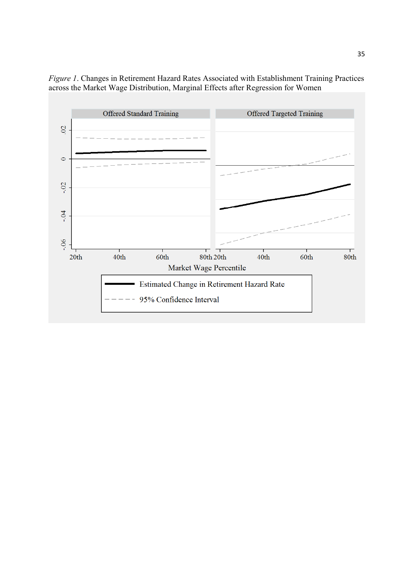

*Figure 1*. Changes in Retirement Hazard Rates Associated with Establishment Training Practices across the Market Wage Distribution, Marginal Effects after Regression for Women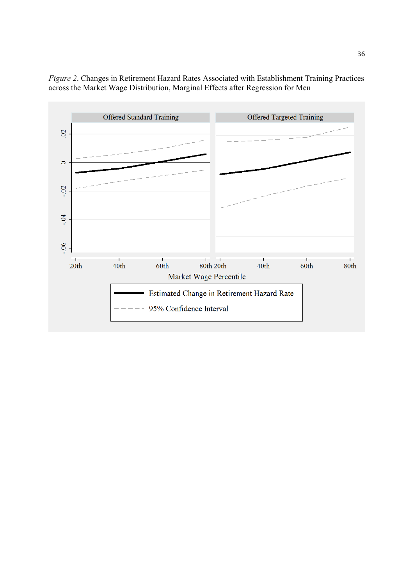

*Figure 2*. Changes in Retirement Hazard Rates Associated with Establishment Training Practices across the Market Wage Distribution, Marginal Effects after Regression for Men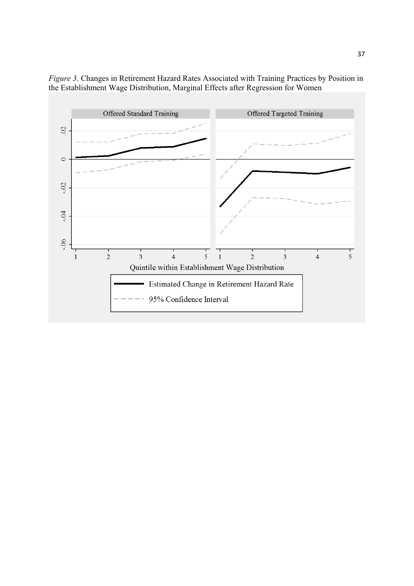

*Figure 3*. Changes in Retirement Hazard Rates Associated with Training Practices by Position in the Establishment Wage Distribution, Marginal Effects after Regression for Women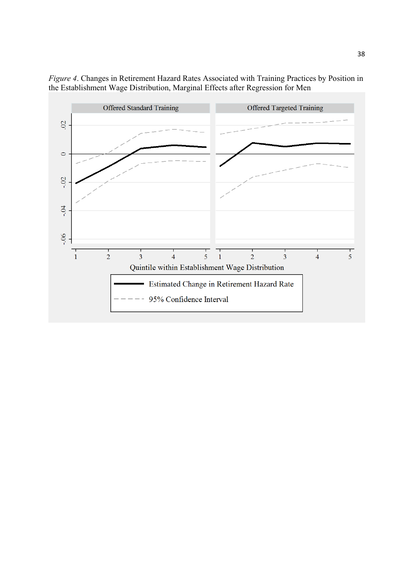

*Figure 4*. Changes in Retirement Hazard Rates Associated with Training Practices by Position in the Establishment Wage Distribution, Marginal Effects after Regression for Men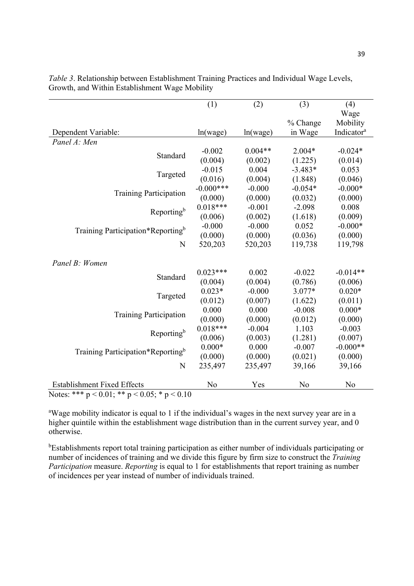|                                                      | (1)            | (2)       | (3)            | (4)                    |  |  |
|------------------------------------------------------|----------------|-----------|----------------|------------------------|--|--|
|                                                      |                |           |                | Wage                   |  |  |
|                                                      |                |           | % Change       | Mobility               |  |  |
| Dependent Variable:                                  | ln(wage)       | ln(wage)  | in Wage        | Indicator <sup>a</sup> |  |  |
| Panel A: Men                                         |                |           |                |                        |  |  |
| Standard                                             | $-0.002$       | $0.004**$ | $2.004*$       | $-0.024*$              |  |  |
|                                                      | (0.004)        | (0.002)   | (1.225)        | (0.014)                |  |  |
|                                                      | $-0.015$       | 0.004     | $-3.483*$      | 0.053                  |  |  |
| Targeted                                             | (0.016)        | (0.004)   | (1.848)        | (0.046)                |  |  |
|                                                      | $-0.000***$    | $-0.000$  | $-0.054*$      | $-0.000*$              |  |  |
| <b>Training Participation</b>                        | (0.000)        | (0.000)   | (0.032)        | (0.000)                |  |  |
|                                                      | $0.018***$     | $-0.001$  | $-2.098$       | 0.008                  |  |  |
| Reporting <sup>b</sup>                               | (0.006)        | (0.002)   | (1.618)        | (0.009)                |  |  |
| Training Participation*Reporting <sup>b</sup>        | $-0.000$       | $-0.000$  | 0.052          | $-0.000*$              |  |  |
|                                                      | (0.000)        | (0.000)   | (0.036)        | (0.000)                |  |  |
| N                                                    | 520,203        | 520,203   | 119,738        | 119,798                |  |  |
|                                                      |                |           |                |                        |  |  |
| Panel B: Women                                       |                |           |                |                        |  |  |
| Standard                                             | $0.023***$     | 0.002     | $-0.022$       | $-0.014**$             |  |  |
|                                                      | (0.004)        | (0.004)   | (0.786)        | (0.006)                |  |  |
| Targeted                                             | $0.023*$       | $-0.000$  | 3.077*         | $0.020*$               |  |  |
|                                                      | (0.012)        | (0.007)   | (1.622)        | (0.011)                |  |  |
| <b>Training Participation</b>                        | 0.000          | 0.000     | $-0.008$       | $0.000*$               |  |  |
|                                                      | (0.000)        | (0.000)   | (0.012)        | (0.000)                |  |  |
| Reporting <sup>b</sup>                               | $0.018***$     | $-0.004$  | 1.103          | $-0.003$               |  |  |
|                                                      | (0.006)        | (0.003)   | (1.281)        | (0.007)                |  |  |
|                                                      | $0.000*$       | 0.000     | $-0.007$       | $-0.000**$             |  |  |
| Training Participation*Reporting <sup>b</sup>        | (0.000)        | (0.000)   | (0.021)        | (0.000)                |  |  |
| N                                                    | 235,497        | 235,497   | 39,166         | 39,166                 |  |  |
|                                                      |                |           |                |                        |  |  |
| <b>Establishment Fixed Effects</b>                   | N <sub>0</sub> | Yes       | N <sub>o</sub> | N <sub>0</sub>         |  |  |
| Notes: *** $p < 0.01$ ; ** $p < 0.05$ ; * $p < 0.10$ |                |           |                |                        |  |  |

*Table 3*. Relationship between Establishment Training Practices and Individual Wage Levels, Growth, and Within Establishment Wage Mobility

<sup>a</sup>Wage mobility indicator is equal to 1 if the individual's wages in the next survey year are in a higher quintile within the establishment wage distribution than in the current survey year, and 0 otherwise.

<sup>b</sup>Establishments report total training participation as either number of individuals participating or number of incidences of training and we divide this figure by firm size to construct the *Training Participation* measure. *Reporting* is equal to 1 for establishments that report training as number of incidences per year instead of number of individuals trained.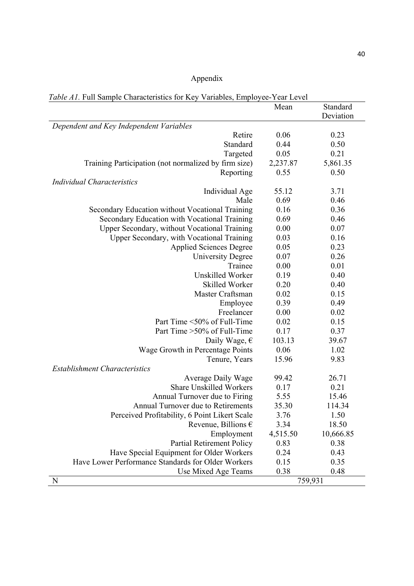## Appendix

*Table A1.* Full Sample Characteristics for Key Variables, Employee-Year Level

|                                                      | Mean     | Standard  |
|------------------------------------------------------|----------|-----------|
|                                                      |          | Deviation |
| Dependent and Key Independent Variables              |          |           |
| Retire                                               | 0.06     | 0.23      |
| Standard                                             | 0.44     | 0.50      |
| Targeted                                             | 0.05     | 0.21      |
| Training Participation (not normalized by firm size) | 2,237.87 | 5,861.35  |
| Reporting                                            | 0.55     | 0.50      |
| <b>Individual Characteristics</b>                    |          |           |
| Individual Age                                       | 55.12    | 3.71      |
| Male                                                 | 0.69     | 0.46      |
| Secondary Education without Vocational Training      | 0.16     | 0.36      |
| Secondary Education with Vocational Training         | 0.69     | 0.46      |
| Upper Secondary, without Vocational Training         | 0.00     | 0.07      |
| Upper Secondary, with Vocational Training            | 0.03     | 0.16      |
| <b>Applied Sciences Degree</b>                       | 0.05     | 0.23      |
| <b>University Degree</b>                             | 0.07     | 0.26      |
| Trainee                                              | 0.00     | 0.01      |
| Unskilled Worker                                     | 0.19     | 0.40      |
| Skilled Worker                                       | 0.20     | 0.40      |
| Master Craftsman                                     | 0.02     | 0.15      |
| Employee                                             | 0.39     | 0.49      |
| Freelancer                                           | 0.00     | 0.02      |
| Part Time <50% of Full-Time                          | 0.02     | 0.15      |
| Part Time > 50% of Full-Time                         | 0.17     | 0.37      |
| Daily Wage, $\epsilon$                               | 103.13   | 39.67     |
| Wage Growth in Percentage Points                     | 0.06     | 1.02      |
| Tenure, Years                                        | 15.96    | 9.83      |
| <b>Establishment Characteristics</b>                 |          |           |
| <b>Average Daily Wage</b>                            | 99.42    | 26.71     |
| <b>Share Unskilled Workers</b>                       | 0.17     | 0.21      |
| Annual Turnover due to Firing                        | 5.55     | 15.46     |
| Annual Turnover due to Retirements                   | 35.30    | 114.34    |
| Perceived Profitability, 6 Point Likert Scale        | 3.76     | 1.50      |
| Revenue, Billions $\epsilon$                         | 3.34     | 18.50     |
| Employment                                           | 4,515.50 | 10,666.85 |
| <b>Partial Retirement Policy</b>                     | 0.83     | 0.38      |
| Have Special Equipment for Older Workers             | 0.24     | 0.43      |
| Have Lower Performance Standards for Older Workers   | 0.15     | 0.35      |
| Use Mixed Age Teams                                  | 0.38     | 0.48      |
| N                                                    |          | 759,931   |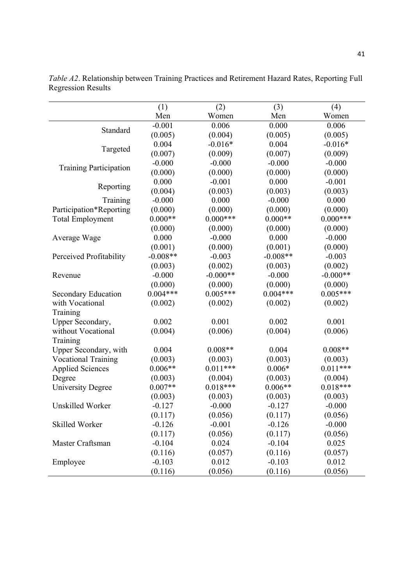|                               | (1)        | (2)        | (3)        | (4)        |
|-------------------------------|------------|------------|------------|------------|
|                               | Men        | Women      | Men        | Women      |
|                               | $-0.001$   | 0.006      | 0.000      | 0.006      |
| Standard                      | (0.005)    | (0.004)    | (0.005)    | (0.005)    |
|                               | 0.004      | $-0.016*$  | 0.004      | $-0.016*$  |
| Targeted                      | (0.007)    | (0.009)    | (0.007)    | (0.009)    |
|                               | $-0.000$   | $-0.000$   | $-0.000$   | $-0.000$   |
| <b>Training Participation</b> | (0.000)    | (0.000)    | (0.000)    | (0.000)    |
|                               | 0.000      | $-0.001$   | 0.000      | $-0.001$   |
| Reporting                     | (0.004)    | (0.003)    | (0.003)    | (0.003)    |
| Training                      | $-0.000$   | 0.000      | $-0.000$   | 0.000      |
| Participation*Reporting       | (0.000)    | (0.000)    | (0.000)    | (0.000)    |
| <b>Total Employment</b>       | $0.000**$  | $0.000***$ | $0.000**$  | $0.000***$ |
|                               | (0.000)    | (0.000)    | (0.000)    | (0.000)    |
| Average Wage                  | 0.000      | $-0.000$   | 0.000      | $-0.000$   |
|                               | (0.001)    | (0.000)    | (0.001)    | (0.000)    |
| Perceived Profitability       | $-0.008**$ | $-0.003$   | $-0.008**$ | $-0.003$   |
|                               | (0.003)    | (0.002)    | (0.003)    | (0.002)    |
| Revenue                       | $-0.000$   | $-0.000**$ | $-0.000$   | $-0.000**$ |
|                               | (0.000)    | (0.000)    | (0.000)    | (0.000)    |
| Secondary Education           | $0.004***$ | $0.005***$ | $0.004***$ | $0.005***$ |
| with Vocational               | (0.002)    | (0.002)    | (0.002)    | (0.002)    |
| Training                      |            |            |            |            |
| Upper Secondary,              | 0.002      | 0.001      | 0.002      | 0.001      |
| without Vocational            | (0.004)    | (0.006)    | (0.004)    | (0.006)    |
| Training                      |            |            |            |            |
| Upper Secondary, with         | 0.004      | $0.008**$  | 0.004      | $0.008**$  |
| <b>Vocational Training</b>    | (0.003)    | (0.003)    | (0.003)    | (0.003)    |
| <b>Applied Sciences</b>       | $0.006**$  | $0.011***$ | $0.006*$   | $0.011***$ |
| Degree                        | (0.003)    | (0.004)    | (0.003)    | (0.004)    |
| <b>University Degree</b>      | $0.007**$  | $0.018***$ | $0.006**$  | $0.018***$ |
|                               | (0.003)    | (0.003)    | (0.003)    | (0.003)    |
| Unskilled Worker              | $-0.127$   | $-0.000$   | $-0.127$   | $-0.000$   |
|                               | (0.117)    | (0.056)    | (0.117)    | (0.056)    |
| Skilled Worker                | $-0.126$   | $-0.001$   | $-0.126$   | $-0.000$   |
|                               | (0.117)    | (0.056)    | (0.117)    | (0.056)    |
| Master Craftsman              | $-0.104$   | 0.024      | $-0.104$   | 0.025      |
|                               | (0.116)    | (0.057)    | (0.116)    | (0.057)    |
| Employee                      | $-0.103$   | 0.012      | $-0.103$   | 0.012      |
|                               | (0.116)    | (0.056)    | (0.116)    | (0.056)    |

*Table A2*. Relationship between Training Practices and Retirement Hazard Rates, Reporting Full Regression Results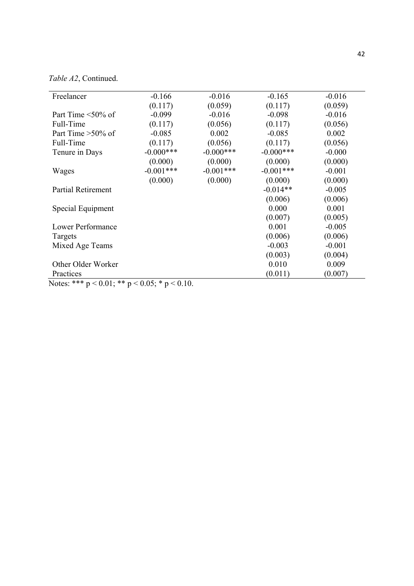*Table A2*, Continued.

| Freelancer                                             | $-0.166$     | $-0.016$     | $-0.165$     | $-0.016$ |  |  |
|--------------------------------------------------------|--------------|--------------|--------------|----------|--|--|
|                                                        | (0.117)      | (0.059)      | (0.117)      | (0.059)  |  |  |
| Part Time $\leq 50\%$ of                               | $-0.099$     | $-0.016$     | $-0.098$     | $-0.016$ |  |  |
| Full-Time                                              | (0.117)      | (0.056)      | (0.117)      | (0.056)  |  |  |
| Part Time $>50\%$ of                                   | $-0.085$     | 0.002        | $-0.085$     | 0.002    |  |  |
| Full-Time                                              | (0.117)      | (0.056)      | (0.117)      | (0.056)  |  |  |
| Tenure in Days                                         | $-0.000$ *** | $-0.000$ *** | $-0.000$ *** | $-0.000$ |  |  |
|                                                        | (0.000)      | (0.000)      | (0.000)      | (0.000)  |  |  |
| Wages                                                  | $-0.001***$  | $-0.001***$  | $-0.001***$  | $-0.001$ |  |  |
|                                                        | (0.000)      | (0.000)      | (0.000)      | (0.000)  |  |  |
| Partial Retirement                                     |              |              | $-0.014**$   | $-0.005$ |  |  |
|                                                        |              |              | (0.006)      | (0.006)  |  |  |
| Special Equipment                                      |              |              | 0.000        | 0.001    |  |  |
|                                                        |              |              | (0.007)      | (0.005)  |  |  |
| Lower Performance                                      |              |              | 0.001        | $-0.005$ |  |  |
| Targets                                                |              |              | (0.006)      | (0.006)  |  |  |
| Mixed Age Teams                                        |              |              | $-0.003$     | $-0.001$ |  |  |
|                                                        |              |              | (0.003)      | (0.004)  |  |  |
| Other Older Worker                                     |              |              | 0.010        | 0.009    |  |  |
| Practices                                              |              |              | (0.011)      | (0.007)  |  |  |
| Notes: *** $p < 0.01$ ; ** $p < 0.05$ ; * $p < 0.10$ . |              |              |              |          |  |  |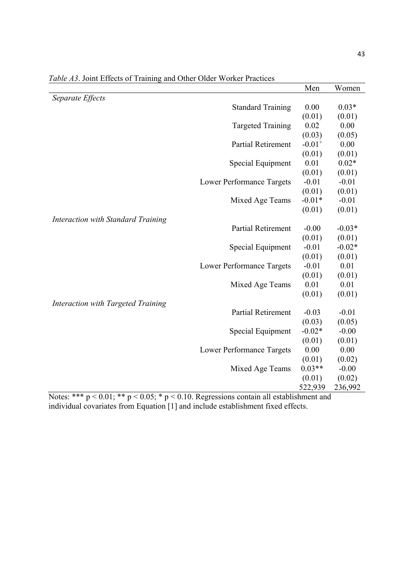|                                                                                           |                                  | Men                  | Women    |
|-------------------------------------------------------------------------------------------|----------------------------------|----------------------|----------|
| Separate Effects                                                                          |                                  |                      |          |
|                                                                                           | <b>Standard Training</b>         | 0.00                 | $0.03*$  |
|                                                                                           |                                  | (0.01)               | (0.01)   |
|                                                                                           | <b>Targeted Training</b>         | 0.02                 | 0.00     |
|                                                                                           |                                  | (0.03)               | (0.05)   |
|                                                                                           | <b>Partial Retirement</b>        | $-0.01$ <sup>+</sup> | 0.00     |
|                                                                                           |                                  | (0.01)               | (0.01)   |
|                                                                                           | Special Equipment                | 0.01                 | $0.02*$  |
|                                                                                           |                                  | (0.01)               | (0.01)   |
|                                                                                           | <b>Lower Performance Targets</b> | $-0.01$              | $-0.01$  |
|                                                                                           |                                  | (0.01)               | (0.01)   |
|                                                                                           | Mixed Age Teams                  | $-0.01*$             | $-0.01$  |
|                                                                                           |                                  | (0.01)               | (0.01)   |
| <b>Interaction with Standard Training</b>                                                 |                                  |                      |          |
|                                                                                           | <b>Partial Retirement</b>        | $-0.00$              | $-0.03*$ |
|                                                                                           |                                  | (0.01)               | (0.01)   |
|                                                                                           | Special Equipment                | $-0.01$              | $-0.02*$ |
|                                                                                           |                                  | (0.01)               | (0.01)   |
|                                                                                           | <b>Lower Performance Targets</b> | $-0.01$              | 0.01     |
|                                                                                           |                                  | (0.01)               | (0.01)   |
|                                                                                           | Mixed Age Teams                  | 0.01                 | 0.01     |
|                                                                                           |                                  | (0.01)               | (0.01)   |
| Interaction with Targeted Training                                                        |                                  |                      |          |
|                                                                                           | <b>Partial Retirement</b>        | $-0.03$              | $-0.01$  |
|                                                                                           |                                  | (0.03)               | (0.05)   |
|                                                                                           | Special Equipment                | $-0.02*$             | $-0.00$  |
|                                                                                           |                                  | (0.01)               | (0.01)   |
|                                                                                           | <b>Lower Performance Targets</b> | 0.00                 | 0.00     |
|                                                                                           |                                  | (0.01)               | (0.02)   |
|                                                                                           | Mixed Age Teams                  | $0.03**$             | $-0.00$  |
|                                                                                           |                                  | (0.01)               | (0.02)   |
|                                                                                           |                                  | 522,939              | 236,992  |
| Note: *** $n < 0.01$ ** $n < 0.05$ * $n < 0.10$ Degreesians cantain all establishment and |                                  |                      |          |

*Table A3*. Joint Effects of Training and Other Older Worker Practices

Notes: \*\*\*  $p < 0.01$ ; \*\*  $p < 0.05$ ; \*  $p < 0.10$ . Regressions contain all establishment and individual covariates from Equation [1] and include establishment fixed effects.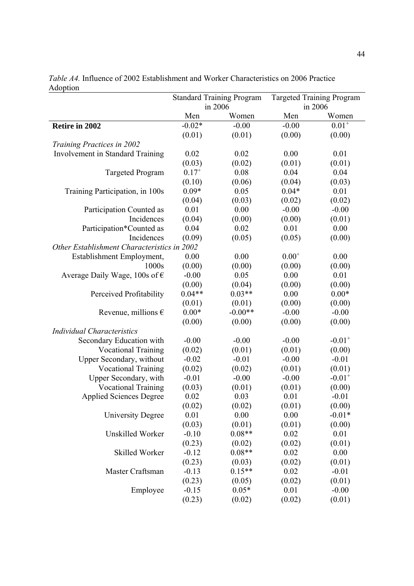|                                             | <b>Standard Training Program</b> |           | <b>Targeted Training Program</b> |                      |
|---------------------------------------------|----------------------------------|-----------|----------------------------------|----------------------|
|                                             | in 2006                          |           |                                  | in 2006              |
|                                             | Men                              | Women     | Men                              | Women                |
| Retire in 2002                              | $-0.02*$                         | $-0.00$   | $-0.00$                          | $0.01^{+}$           |
|                                             | (0.01)                           | (0.01)    | (0.00)                           | (0.00)               |
| Training Practices in 2002                  |                                  |           |                                  |                      |
| Involvement in Standard Training            | 0.02                             | 0.02      | 0.00                             | 0.01                 |
|                                             | (0.03)                           | (0.02)    | (0.01)                           | (0.01)               |
| <b>Targeted Program</b>                     | $0.17^{+}$                       | 0.08      | 0.04                             | 0.04                 |
|                                             | (0.10)                           | (0.06)    | (0.04)                           | (0.03)               |
| Training Participation, in 100s             | $0.09*$                          | 0.05      | $0.04*$                          | 0.01                 |
|                                             | (0.04)                           | (0.03)    | (0.02)                           | (0.02)               |
| Participation Counted as                    | 0.01                             | 0.00      | $-0.00$                          | $-0.00$              |
| Incidences                                  | (0.04)                           | (0.00)    | (0.00)                           | (0.01)               |
| Participation*Counted as                    | 0.04                             | 0.02      | 0.01                             | $0.00\,$             |
| Incidences                                  | (0.09)                           | (0.05)    | (0.05)                           | (0.00)               |
| Other Establishment Characteristics in 2002 |                                  |           |                                  |                      |
| Establishment Employment,                   | 0.00                             | 0.00      | $0.00^{+}$                       | 0.00                 |
| 1000s                                       | (0.00)                           | (0.00)    | (0.00)                           | (0.00)               |
| Average Daily Wage, 100s of $\epsilon$      | $-0.00$                          | 0.05      | 0.00                             | 0.01                 |
|                                             | (0.00)                           | (0.04)    | (0.00)                           | (0.00)               |
| Perceived Profitability                     | $0.04**$                         | $0.03**$  | 0.00                             | $0.00*$              |
|                                             | (0.01)                           | (0.01)    | (0.00)                           | (0.00)               |
| Revenue, millions $\epsilon$                | $0.00*$                          | $-0.00**$ | $-0.00$                          | $-0.00$              |
|                                             | (0.00)                           | (0.00)    | (0.00)                           | (0.00)               |
| <b>Individual Characteristics</b>           |                                  |           |                                  |                      |
| Secondary Education with                    | $-0.00$                          | $-0.00$   | $-0.00$                          | $-0.01$ <sup>+</sup> |
| <b>Vocational Training</b>                  | (0.02)                           | (0.01)    | (0.01)                           | (0.00)               |
| Upper Secondary, without                    | $-0.02$                          | $-0.01$   | $-0.00$                          | $-0.01$              |
| <b>Vocational Training</b>                  | (0.02)                           | (0.02)    | (0.01)                           | (0.01)               |
| Upper Secondary, with                       | $-0.01$                          | $-0.00$   | $-0.00$                          | $-0.01$ <sup>+</sup> |
| <b>Vocational Training</b>                  | (0.03)                           | (0.01)    | (0.01)                           | (0.00)               |
| <b>Applied Sciences Degree</b>              | 0.02                             | 0.03      | 0.01                             | $-0.01$              |
|                                             | (0.02)                           | (0.02)    | (0.01)                           | (0.00)               |
| <b>University Degree</b>                    | 0.01                             | 0.00      | 0.00                             | $-0.01*$             |
|                                             | (0.03)                           | (0.01)    | (0.01)                           | (0.00)               |
| Unskilled Worker                            | $-0.10$                          | $0.08**$  | 0.02                             | 0.01                 |
|                                             | (0.23)                           | (0.02)    | (0.02)                           | (0.01)               |
| Skilled Worker                              | $-0.12$                          | $0.08**$  | 0.02                             | 0.00                 |
|                                             | (0.23)                           | (0.03)    | (0.02)                           | (0.01)               |
| Master Craftsman                            | $-0.13$                          | $0.15**$  | 0.02                             | $-0.01$              |
|                                             | (0.23)                           | (0.05)    | (0.02)                           | (0.01)               |
| Employee                                    | $-0.15$                          | $0.05*$   | 0.01                             | $-0.00$              |
|                                             | (0.23)                           | (0.02)    | (0.02)                           | (0.01)               |

*Table A4.* Influence of 2002 Establishment and Worker Characteristics on 2006 Practice Adoption